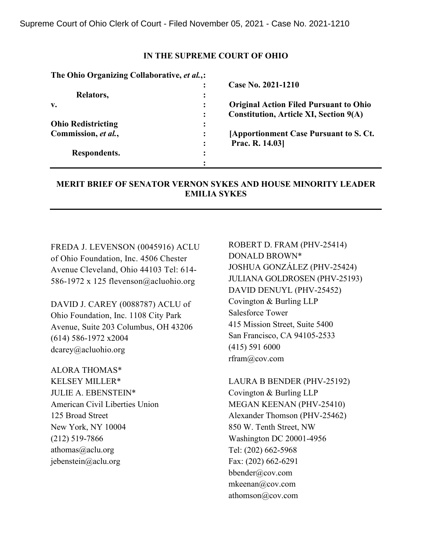### **IN THE SUPREME COURT OF OHIO**

| The Ohio Organizing Collaborative, et al.,: |                |                                                 |
|---------------------------------------------|----------------|-------------------------------------------------|
|                                             |                | Case No. 2021-1210                              |
| Relators,                                   | ፡              |                                                 |
| v.                                          |                | <b>Original Action Filed Pursuant to Ohio</b>   |
|                                             | ፡              | <b>Constitution, Article XI, Section 9(A)</b>   |
| <b>Ohio Redistricting</b>                   | ፡              |                                                 |
| Commission, et al.,                         | ፡              | <b>[Apportionment Case Pursuant to S. Ct.</b> ] |
|                                             | $\ddot{\cdot}$ | Prac. R. 14.03                                  |
| Respondents.                                | $\bullet$      |                                                 |
|                                             |                |                                                 |

# **MERIT BRIEF OF SENATOR VERNON SYKES AND HOUSE MINORITY LEADER EMILIA SYKES**

FREDA J. LEVENSON (0045916) ACLU of Ohio Foundation, Inc. 4506 Chester Avenue Cleveland, Ohio 44103 Tel: 614- 586-1972 x 125 flevenson@acluohio.org

DAVID J. CAREY (0088787) ACLU of Ohio Foundation, Inc. 1108 City Park Avenue, Suite 203 Columbus, OH 43206 (614) 586-1972 x2004 dcarey@acluohio.org

ALORA THOMAS\* KELSEY MILLER\* JULIE A. EBENSTEIN\* American Civil Liberties Union 125 Broad Street New York, NY 10004 (212) 519-7866 athomas@aclu.org jebenstein@aclu.org

ROBERT D. FRAM (PHV-25414) DONALD BROWN\* JOSHUA GONZÁLEZ (PHV-25424) JULIANA GOLDROSEN (PHV-25193) DAVID DENUYL (PHV-25452) Covington & Burling LLP Salesforce Tower 415 Mission Street, Suite 5400 San Francisco, CA 94105-2533 (415) 591 6000 rfram@cov.com

LAURA B BENDER (PHV-25192) Covington & Burling LLP MEGAN KEENAN (PHV-25410) Alexander Thomson (PHV-25462) 850 W. Tenth Street, NW Washington DC 20001-4956 Tel: (202) 662-5968 Fax: (202) 662-6291 bbender@cov.com mkeenan@cov.com athomson@cov.com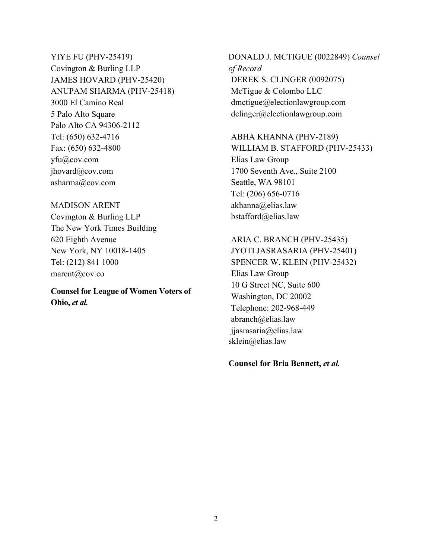YIYE FU (PHV-25419) Covington & Burling LLP JAMES HOVARD (PHV-25420) ANUPAM SHARMA (PHV-25418) 3000 El Camino Real 5 Palo Alto Square Palo Alto CA 94306-2112 Tel: (650) 632-4716 Fax: (650) 632-4800 yfu@cov.com jhovard@cov.com asharma@cov.com

### MADISON ARENT

Covington & Burling LLP The New York Times Building 620 Eighth Avenue New York, NY 10018-1405 Tel: (212) 841 1000 marent@cov.co

**Counsel for League of Women Voters of Ohio,** *et al.*

DONALD J. MCTIGUE (0022849) *Counsel of Record* DEREK S. CLINGER (0092075) McTigue & Colombo LLC dmctigue@electionlawgroup.com dclinger@electionlawgroup.com

#### ABHA KHANNA (PHV-2189)

WILLIAM B. STAFFORD (PHV-25433) Elias Law Group 1700 Seventh Ave., Suite 2100 Seattle, WA 98101 Tel: (206) 656-0716 akhanna@elias.law bstafford@elias.law

# ARIA C. BRANCH (PHV-25435) JYOTI JASRASARIA (PHV-25401) SPENCER W. KLEIN (PHV-25432) Elias Law Group 10 G Street NC, Suite 600 Washington, DC 20002 Telephone: 202-968-449

abranch@elias.law jjasrasaria@elias.law sklein@elias.law

**Counsel for Bria Bennett,** *et al.*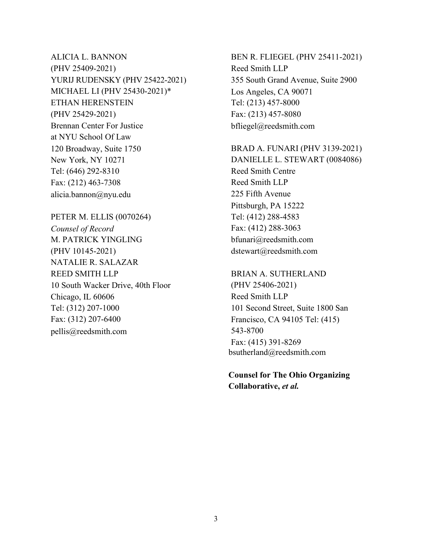ALICIA L. BANNON (PHV 25409-2021) YURIJ RUDENSKY (PHV 25422-2021) MICHAEL LI (PHV 25430-2021)\* ETHAN HERENSTEIN (PHV 25429-2021) Brennan Center For Justice at NYU School Of Law 120 Broadway, Suite 1750 New York, NY 10271 Tel: (646) 292-8310 Fax: (212) 463-7308 alicia.bannon@nyu.edu

PETER M. ELLIS (0070264) *Counsel of Record*  M. PATRICK YINGLING (PHV 10145-2021) NATALIE R. SALAZAR REED SMITH LLP 10 South Wacker Drive, 40th Floor Chicago, IL 60606 Tel: (312) 207-1000 Fax: (312) 207-6400 pellis@reedsmith.com

BEN R. FLIEGEL (PHV 25411-2021) Reed Smith LLP 355 South Grand Avenue, Suite 2900 Los Angeles, CA 90071 Tel: (213) 457-8000 Fax: (213) 457-8080 bfliegel@reedsmith.com

BRAD A. FUNARI (PHV 3139-2021) DANIELLE L. STEWART (0084086) Reed Smith Centre Reed Smith LLP 225 Fifth Avenue Pittsburgh, PA 15222 Tel: (412) 288-4583 Fax: (412) 288-3063 bfunari@reedsmith.com dstewart@reedsmith.com

BRIAN A. SUTHERLAND (PHV 25406-2021) Reed Smith LLP 101 Second Street, Suite 1800 San Francisco, CA 94105 Tel: (415) 543-8700 Fax: (415) 391-8269 bsutherland@reedsmith.com

**Counsel for The Ohio Organizing Collaborative,** *et al.*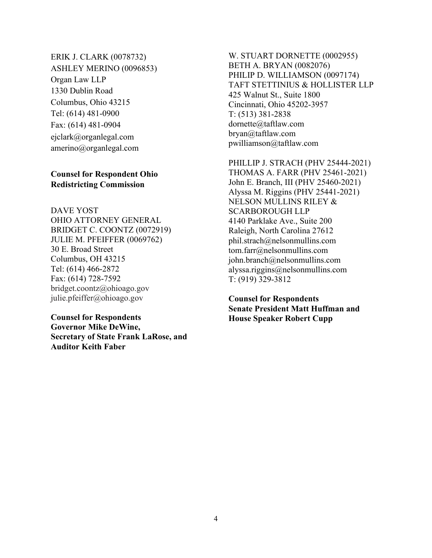ERIK J. CLARK (0078732) ASHLEY MERINO (0096853) Organ Law LLP 1330 Dublin Road Columbus, Ohio 43215 Tel: (614) 481-0900 Fax: (614) 481-0904 ejclark@organlegal.com amerino@organlegal.com

# **Counsel for Respondent Ohio Redistricting Commission**

DAVE YOST OHIO ATTORNEY GENERAL BRIDGET C. COONTZ (0072919) JULIE M. PFEIFFER (0069762) 30 E. Broad Street Columbus, OH 43215 Tel: (614) 466-2872 Fax: (614) 728-7592 bridget.coontz@ohioago.gov julie.pfeiffer@ohioago.gov

## **Counsel for Respondents Governor Mike DeWine, Secretary of State Frank LaRose, and**

**Auditor Keith Faber** 

W. STUART DORNETTE (0002955) BETH A. BRYAN (0082076) PHILIP D. WILLIAMSON (0097174) TAFT STETTINIUS & HOLLISTER LLP 425 Walnut St., Suite 1800 Cincinnati, Ohio 45202-3957 T: (513) 381-2838 dornette@taftlaw.com bryan@taftlaw.com pwilliamson@taftlaw.com

PHILLIP J. STRACH (PHV 25444-2021) THOMAS A. FARR (PHV 25461-2021) John E. Branch, III (PHV 25460-2021) Alyssa M. Riggins (PHV 25441-2021) NELSON MULLINS RILEY & SCARBOROUGH LLP 4140 Parklake Ave., Suite 200 Raleigh, North Carolina 27612 phil.strach@nelsonmullins.com tom.farr@nelsonmullins.com john.branch@nelsonmullins.com alyssa.riggins@nelsonmullins.com T: (919) 329-3812

**Counsel for Respondents Senate President Matt Huffman and House Speaker Robert Cupp**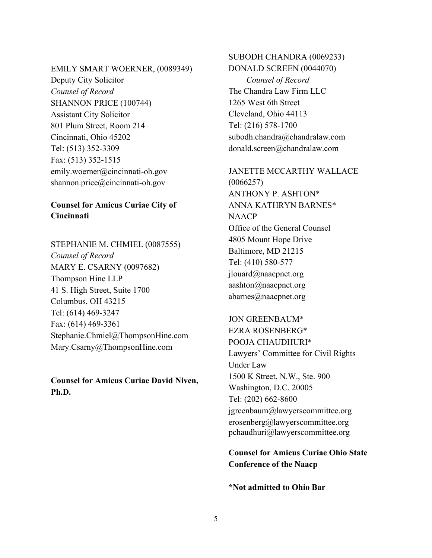#### EMILY SMART WOERNER, (0089349)

Deputy City Solicitor *Counsel of Record*  SHANNON PRICE (100744) Assistant City Solicitor 801 Plum Street, Room 214 Cincinnati, Ohio 45202 Tel: (513) 352-3309 Fax: (513) 352-1515 emily.woerner@cincinnati-oh.gov shannon.price@cincinnati-oh.gov

# **Counsel for Amicus Curiae City of Cincinnati**

STEPHANIE M. CHMIEL (0087555) *Counsel of Record*  MARY E. CSARNY (0097682) Thompson Hine LLP 41 S. High Street, Suite 1700 Columbus, OH 43215 Tel: (614) 469-3247 Fax: (614) 469-3361 Stephanie.Chmiel@ThompsonHine.com Mary.Csarny@ThompsonHine.com

**Counsel for Amicus Curiae David Niven, Ph.D.** 

# SUBODH CHANDRA (0069233) DONALD SCREEN (0044070) *Counsel of Record*  The Chandra Law Firm LLC 1265 West 6th Street Cleveland, Ohio 44113 Tel: (216) 578-1700 subodh.chandra@chandralaw.com donald.screen@chandralaw.com

JANETTE MCCARTHY WALLACE (0066257) ANTHONY P. ASHTON\* ANNA KATHRYN BARNES\* **NAACP** Office of the General Counsel 4805 Mount Hope Drive Baltimore, MD 21215 Tel: (410) 580-577 jlouard@naacpnet.org aashton@naacpnet.org abarnes@naacpnet.org

# JON GREENBAUM\* EZRA ROSENBERG\* POOJA CHAUDHURI\* Lawyers' Committee for Civil Rights Under Law 1500 K Street, N.W., Ste. 900 Washington, D.C. 20005 Tel: (202) 662-8600 jgreenbaum@lawyerscommittee.org erosenberg@lawyerscommittee.org pchaudhuri@lawyerscommittee.org

# **Counsel for Amicus Curiae Ohio State Conference of the Naacp**

**\*Not admitted to Ohio Bar**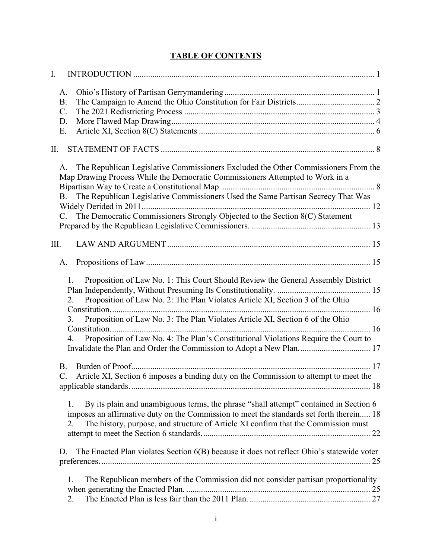| I.   |                                                           |                                                                                                                                                                                                                                                                                                                                                                                                                                                                                                                              |  |
|------|-----------------------------------------------------------|------------------------------------------------------------------------------------------------------------------------------------------------------------------------------------------------------------------------------------------------------------------------------------------------------------------------------------------------------------------------------------------------------------------------------------------------------------------------------------------------------------------------------|--|
|      | A.<br><b>B.</b><br>$\mathbf{C}$ .<br>D.<br>E.             |                                                                                                                                                                                                                                                                                                                                                                                                                                                                                                                              |  |
| П.   |                                                           |                                                                                                                                                                                                                                                                                                                                                                                                                                                                                                                              |  |
|      | A.<br>B <sub>1</sub><br>$C_{\cdot}$                       | The Republican Legislative Commissioners Excluded the Other Commissioners From the<br>Map Drawing Process While the Democratic Commissioners Attempted to Work in a<br>The Republican Legislative Commissioners Used the Same Partisan Secrecy That Was<br>The Democratic Commissioners Strongly Objected to the Section 8(C) Statement                                                                                                                                                                                      |  |
| III. |                                                           |                                                                                                                                                                                                                                                                                                                                                                                                                                                                                                                              |  |
|      | A.<br>1.<br>2.<br>3.<br>4.<br><b>B.</b><br>$\mathbf{C}$ . | Proposition of Law No. 1: This Court Should Review the General Assembly District<br>Proposition of Law No. 2: The Plan Violates Article XI, Section 3 of the Ohio<br>Proposition of Law No. 3: The Plan Violates Article XI, Section 6 of the Ohio<br>Proposition of Law No. 4: The Plan's Constitutional Violations Require the Court to<br>Invalidate the Plan and Order the Commission to Adopt a New Plan 17<br>Burden of Proof<br>Article XI, Section 6 imposes a binding duty on the Commission to attempt to meet the |  |
|      | 1.<br>2.<br>D.                                            | By its plain and unambiguous terms, the phrase "shall attempt" contained in Section 6<br>imposes an affirmative duty on the Commission to meet the standards set forth therein 18<br>The history, purpose, and structure of Article XI confirm that the Commission must<br>The Enacted Plan violates Section 6(B) because it does not reflect Ohio's statewide voter                                                                                                                                                         |  |
|      | 1.<br>2.                                                  | The Republican members of the Commission did not consider partisan proportionality                                                                                                                                                                                                                                                                                                                                                                                                                                           |  |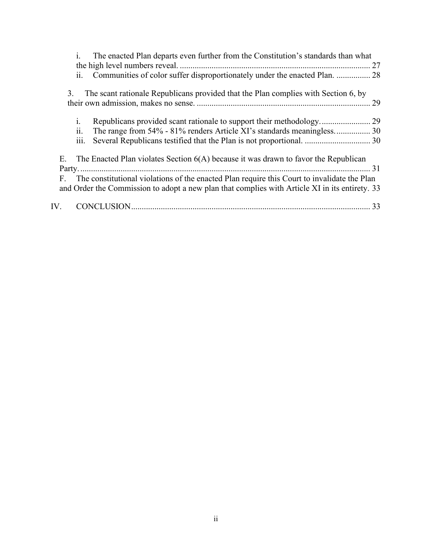| The enacted Plan departs even further from the Constitution's standards than what<br>$\mathbf{i}$ . |
|-----------------------------------------------------------------------------------------------------|
|                                                                                                     |
| ii. Communities of color suffer disproportionately under the enacted Plan.  28                      |
| The scant rationale Republicans provided that the Plan complies with Section 6, by<br>3.            |
| 29                                                                                                  |
|                                                                                                     |
| 1.                                                                                                  |
| ii.<br>The range from 54% - 81% renders Article XI's standards meaningless 30                       |
| iii.                                                                                                |
|                                                                                                     |
| E. The Enacted Plan violates Section $6(A)$ because it was drawn to favor the Republican            |
|                                                                                                     |
| The constitutional violations of the enacted Plan require this Court to invalidate the Plan<br>F.   |
| and Order the Commission to adopt a new plan that complies with Article XI in its entirety. 33      |
| IV.                                                                                                 |
|                                                                                                     |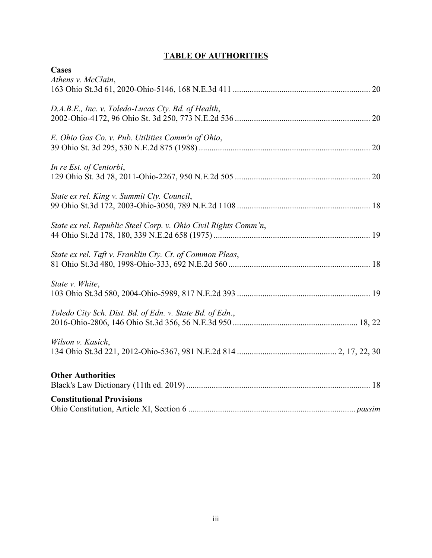# **TABLE OF AUTHORITIES**

| <b>Cases</b>                                                    |
|-----------------------------------------------------------------|
| Athens v. McClain,                                              |
|                                                                 |
|                                                                 |
| D.A.B.E., Inc. v. Toledo-Lucas Cty. Bd. of Health,              |
|                                                                 |
|                                                                 |
| E. Ohio Gas Co. v. Pub. Utilities Comm'n of Ohio,               |
|                                                                 |
| In re Est. of Centorbi,                                         |
|                                                                 |
|                                                                 |
| State ex rel. King v. Summit Cty. Council,                      |
|                                                                 |
|                                                                 |
| State ex rel. Republic Steel Corp. v. Ohio Civil Rights Comm'n, |
|                                                                 |
|                                                                 |
| State ex rel. Taft v. Franklin Cty. Ct. of Common Pleas,        |
|                                                                 |
| State v. White,                                                 |
|                                                                 |
|                                                                 |
| Toledo City Sch. Dist. Bd. of Edn. v. State Bd. of Edn.,        |
|                                                                 |
|                                                                 |
| Wilson v. Kasich,                                               |
|                                                                 |
|                                                                 |
| <b>Other Authorities</b>                                        |
|                                                                 |
| <b>Constitutional Provisions</b>                                |
|                                                                 |
|                                                                 |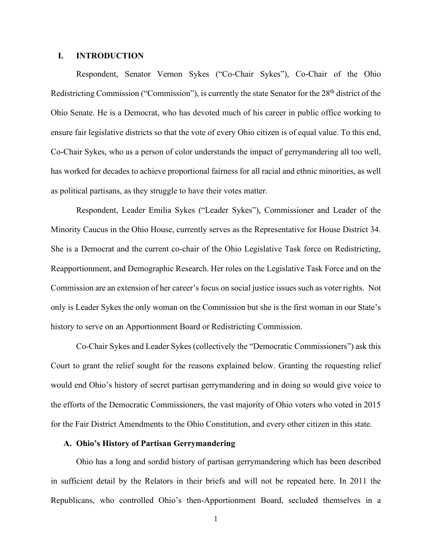### **I. INTRODUCTION**

Respondent, Senator Vernon Sykes ("Co-Chair Sykes"), Co-Chair of the Ohio Redistricting Commission ("Commission"), is currently the state Senator for the 28<sup>th</sup> district of the Ohio Senate. He is a Democrat, who has devoted much of his career in public office working to ensure fair legislative districts so that the vote of every Ohio citizen is of equal value. To this end, Co-Chair Sykes, who as a person of color understands the impact of gerrymandering all too well, has worked for decades to achieve proportional fairness for all racial and ethnic minorities, as well as political partisans, as they struggle to have their votes matter.

Respondent, Leader Emilia Sykes ("Leader Sykes"), Commissioner and Leader of the Minority Caucus in the Ohio House, currently serves as the Representative for House District 34. She is a Democrat and the current co-chair of the Ohio Legislative Task force on Redistricting, Reapportionment, and Demographic Research. Her roles on the Legislative Task Force and on the Commission are an extension of her career's focus on social justice issues such as voter rights. Not only is Leader Sykes the only woman on the Commission but she is the first woman in our State's history to serve on an Apportionment Board or Redistricting Commission.

Co-Chair Sykes and Leader Sykes (collectively the "Democratic Commissioners") ask this Court to grant the relief sought for the reasons explained below. Granting the requesting relief would end Ohio's history of secret partisan gerrymandering and in doing so would give voice to the efforts of the Democratic Commissioners, the vast majority of Ohio voters who voted in 2015 for the Fair District Amendments to the Ohio Constitution, and every other citizen in this state.

### **A. Ohio's History of Partisan Gerrymandering**

Ohio has a long and sordid history of partisan gerrymandering which has been described in sufficient detail by the Relators in their briefs and will not be repeated here. In 2011 the Republicans, who controlled Ohio's then-Apportionment Board, secluded themselves in a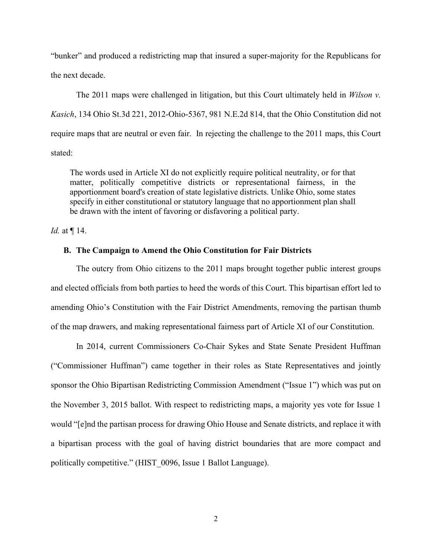"bunker" and produced a redistricting map that insured a super-majority for the Republicans for the next decade.

The 2011 maps were challenged in litigation, but this Court ultimately held in *Wilson v. Kasich*, 134 Ohio St.3d 221, 2012-Ohio-5367, 981 N.E.2d 814, that the Ohio Constitution did not require maps that are neutral or even fair. In rejecting the challenge to the 2011 maps, this Court stated:

The words used in Article XI do not explicitly require political neutrality, or for that matter, politically competitive districts or representational fairness, in the apportionment board's creation of state legislative districts. Unlike Ohio, some states specify in either constitutional or statutory language that no apportionment plan shall be drawn with the intent of favoring or disfavoring a political party.

*Id.* at ¶ 14.

#### **B. The Campaign to Amend the Ohio Constitution for Fair Districts**

The outcry from Ohio citizens to the 2011 maps brought together public interest groups and elected officials from both parties to heed the words of this Court. This bipartisan effort led to amending Ohio's Constitution with the Fair District Amendments, removing the partisan thumb of the map drawers, and making representational fairness part of Article XI of our Constitution.

In 2014, current Commissioners Co-Chair Sykes and State Senate President Huffman ("Commissioner Huffman") came together in their roles as State Representatives and jointly sponsor the Ohio Bipartisan Redistricting Commission Amendment ("Issue 1") which was put on the November 3, 2015 ballot. With respect to redistricting maps, a majority yes vote for Issue 1 would "[e]nd the partisan process for drawing Ohio House and Senate districts, and replace it with a bipartisan process with the goal of having district boundaries that are more compact and politically competitive." (HIST 0096, Issue 1 Ballot Language).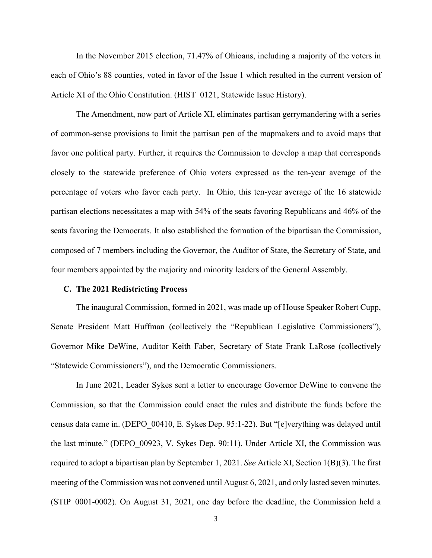In the November 2015 election, 71.47% of Ohioans, including a majority of the voters in each of Ohio's 88 counties, voted in favor of the Issue 1 which resulted in the current version of Article XI of the Ohio Constitution. (HIST 0121, Statewide Issue History).

The Amendment, now part of Article XI, eliminates partisan gerrymandering with a series of common-sense provisions to limit the partisan pen of the mapmakers and to avoid maps that favor one political party. Further, it requires the Commission to develop a map that corresponds closely to the statewide preference of Ohio voters expressed as the ten-year average of the percentage of voters who favor each party. In Ohio, this ten-year average of the 16 statewide partisan elections necessitates a map with 54% of the seats favoring Republicans and 46% of the seats favoring the Democrats. It also established the formation of the bipartisan the Commission, composed of 7 members including the Governor, the Auditor of State, the Secretary of State, and four members appointed by the majority and minority leaders of the General Assembly.

#### **C. The 2021 Redistricting Process**

The inaugural Commission, formed in 2021, was made up of House Speaker Robert Cupp, Senate President Matt Huffman (collectively the "Republican Legislative Commissioners"), Governor Mike DeWine, Auditor Keith Faber, Secretary of State Frank LaRose (collectively "Statewide Commissioners"), and the Democratic Commissioners.

In June 2021, Leader Sykes sent a letter to encourage Governor DeWine to convene the Commission, so that the Commission could enact the rules and distribute the funds before the census data came in. (DEPO\_00410, E. Sykes Dep. 95:1-22). But "[e]verything was delayed until the last minute." (DEPO\_00923, V. Sykes Dep. 90:11). Under Article XI, the Commission was required to adopt a bipartisan plan by September 1, 2021. *See* Article XI, Section 1(B)(3). The first meeting of the Commission was not convened until August 6, 2021, and only lasted seven minutes. (STIP\_0001-0002). On August 31, 2021, one day before the deadline, the Commission held a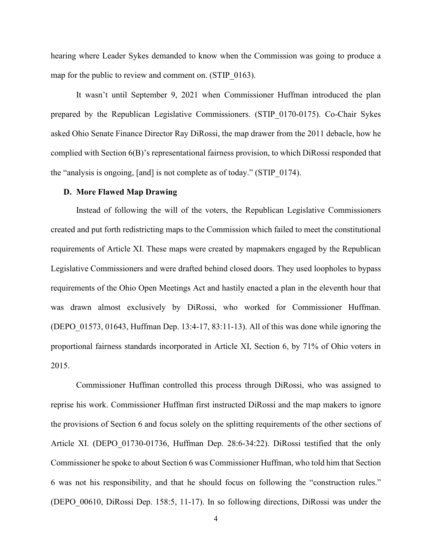hearing where Leader Sykes demanded to know when the Commission was going to produce a map for the public to review and comment on. (STIP 0163).

It wasn't until September 9, 2021 when Commissioner Huffman introduced the plan prepared by the Republican Legislative Commissioners. (STIP\_0170-0175). Co-Chair Sykes asked Ohio Senate Finance Director Ray DiRossi, the map drawer from the 2011 debacle, how he complied with Section 6(B)'s representational fairness provision, to which DiRossi responded that the "analysis is ongoing, [and] is not complete as of today." (STIP\_0174).

#### **D. More Flawed Map Drawing**

Instead of following the will of the voters, the Republican Legislative Commissioners created and put forth redistricting maps to the Commission which failed to meet the constitutional requirements of Article XI. These maps were created by mapmakers engaged by the Republican Legislative Commissioners and were drafted behind closed doors. They used loopholes to bypass requirements of the Ohio Open Meetings Act and hastily enacted a plan in the eleventh hour that was drawn almost exclusively by DiRossi, who worked for Commissioner Huffman. (DEPO  $01573$ ,  $01643$ , Huffman Dep. 13:4-17, 83:11-13). All of this was done while ignoring the proportional fairness standards incorporated in Article XI, Section 6, by 71% of Ohio voters in 2015.

Commissioner Huffman controlled this process through DiRossi, who was assigned to reprise his work. Commissioner Huffman first instructed DiRossi and the map makers to ignore the provisions of Section 6 and focus solely on the splitting requirements of the other sections of Article XI. (DEPO\_01730-01736, Huffman Dep. 28:6-34:22). DiRossi testified that the only Commissioner he spoke to about Section 6 was Commissioner Huffman, who told him that Section 6 was not his responsibility, and that he should focus on following the "construction rules." (DEPO\_00610, DiRossi Dep. 158:5, 11-17). In so following directions, DiRossi was under the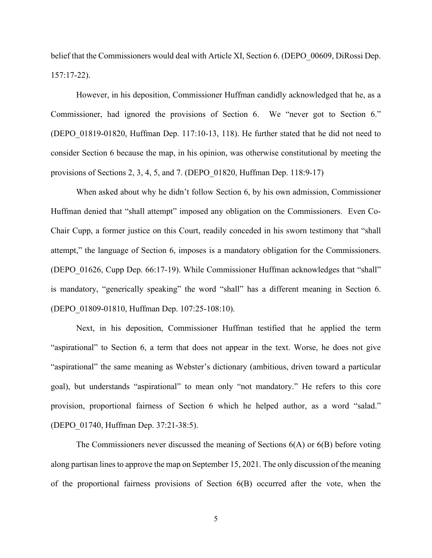belief that the Commissioners would deal with Article XI, Section 6. (DEPO 00609, DiRossi Dep. 157:17-22).

However, in his deposition, Commissioner Huffman candidly acknowledged that he, as a Commissioner, had ignored the provisions of Section 6. We "never got to Section 6." (DEPO\_01819-01820, Huffman Dep. 117:10-13, 118). He further stated that he did not need to consider Section 6 because the map, in his opinion, was otherwise constitutional by meeting the provisions of Sections 2, 3, 4, 5, and 7. (DEPO\_01820, Huffman Dep. 118:9-17)

When asked about why he didn't follow Section 6, by his own admission, Commissioner Huffman denied that "shall attempt" imposed any obligation on the Commissioners. Even Co-Chair Cupp, a former justice on this Court, readily conceded in his sworn testimony that "shall attempt," the language of Section 6, imposes is a mandatory obligation for the Commissioners. (DEPO\_01626, Cupp Dep. 66:17-19). While Commissioner Huffman acknowledges that "shall" is mandatory, "generically speaking" the word "shall" has a different meaning in Section 6. (DEPO\_01809-01810, Huffman Dep. 107:25-108:10).

Next, in his deposition, Commissioner Huffman testified that he applied the term "aspirational" to Section 6, a term that does not appear in the text. Worse, he does not give "aspirational" the same meaning as Webster's dictionary (ambitious, driven toward a particular goal), but understands "aspirational" to mean only "not mandatory." He refers to this core provision, proportional fairness of Section 6 which he helped author, as a word "salad." (DEPO\_01740, Huffman Dep. 37:21-38:5).

The Commissioners never discussed the meaning of Sections 6(A) or 6(B) before voting along partisan lines to approve the map on September 15, 2021. The only discussion of the meaning of the proportional fairness provisions of Section 6(B) occurred after the vote, when the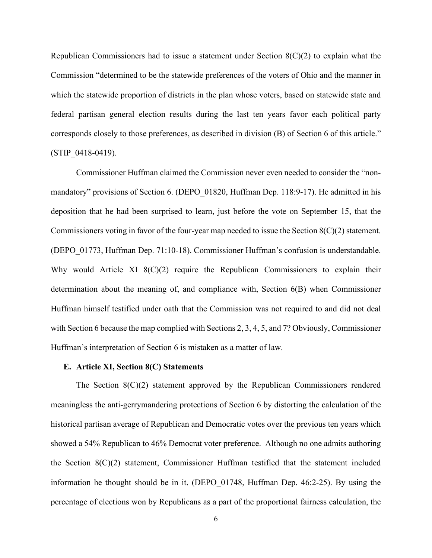Republican Commissioners had to issue a statement under Section  $8(C)(2)$  to explain what the Commission "determined to be the statewide preferences of the voters of Ohio and the manner in which the statewide proportion of districts in the plan whose voters, based on statewide state and federal partisan general election results during the last ten years favor each political party corresponds closely to those preferences, as described in division (B) of Section 6 of this article." (STIP\_0418-0419).

Commissioner Huffman claimed the Commission never even needed to consider the "nonmandatory" provisions of Section 6. (DEPO 01820, Huffman Dep. 118:9-17). He admitted in his deposition that he had been surprised to learn, just before the vote on September 15, that the Commissioners voting in favor of the four-year map needed to issue the Section 8(C)(2) statement. (DEPO\_01773, Huffman Dep. 71:10-18). Commissioner Huffman's confusion is understandable. Why would Article XI  $8(C)(2)$  require the Republican Commissioners to explain their determination about the meaning of, and compliance with, Section 6(B) when Commissioner Huffman himself testified under oath that the Commission was not required to and did not deal with Section 6 because the map complied with Sections 2, 3, 4, 5, and 7? Obviously, Commissioner Huffman's interpretation of Section 6 is mistaken as a matter of law.

#### **E. Article XI, Section 8(C) Statements**

The Section 8(C)(2) statement approved by the Republican Commissioners rendered meaningless the anti-gerrymandering protections of Section 6 by distorting the calculation of the historical partisan average of Republican and Democratic votes over the previous ten years which showed a 54% Republican to 46% Democrat voter preference. Although no one admits authoring the Section 8(C)(2) statement, Commissioner Huffman testified that the statement included information he thought should be in it. (DEPO\_01748, Huffman Dep. 46:2-25). By using the percentage of elections won by Republicans as a part of the proportional fairness calculation, the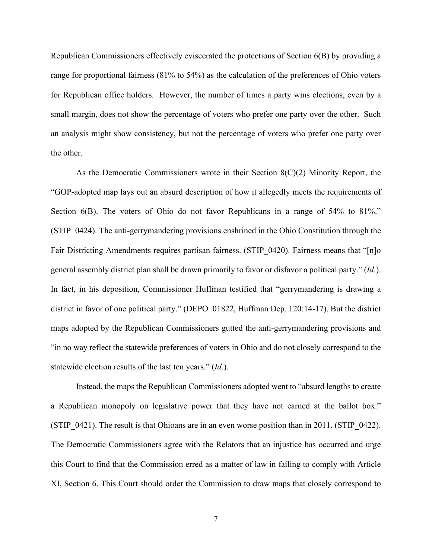Republican Commissioners effectively eviscerated the protections of Section 6(B) by providing a range for proportional fairness (81% to 54%) as the calculation of the preferences of Ohio voters for Republican office holders. However, the number of times a party wins elections, even by a small margin, does not show the percentage of voters who prefer one party over the other. Such an analysis might show consistency, but not the percentage of voters who prefer one party over the other.

As the Democratic Commissioners wrote in their Section  $8(C)(2)$  Minority Report, the "GOP-adopted map lays out an absurd description of how it allegedly meets the requirements of Section 6(B). The voters of Ohio do not favor Republicans in a range of 54% to 81%." (STIP\_0424). The anti-gerrymandering provisions enshrined in the Ohio Constitution through the Fair Districting Amendments requires partisan fairness. (STIP 0420). Fairness means that "[n]o general assembly district plan shall be drawn primarily to favor or disfavor a political party." (*Id.*). In fact, in his deposition, Commissioner Huffman testified that "gerrymandering is drawing a district in favor of one political party." (DEPO\_01822, Huffman Dep. 120:14-17). But the district maps adopted by the Republican Commissioners gutted the anti-gerrymandering provisions and "in no way reflect the statewide preferences of voters in Ohio and do not closely correspond to the statewide election results of the last ten years." (*Id.*).

Instead, the maps the Republican Commissioners adopted went to "absurd lengths to create a Republican monopoly on legislative power that they have not earned at the ballot box." (STIP\_0421). The result is that Ohioans are in an even worse position than in 2011. (STIP\_0422). The Democratic Commissioners agree with the Relators that an injustice has occurred and urge this Court to find that the Commission erred as a matter of law in failing to comply with Article XI, Section 6. This Court should order the Commission to draw maps that closely correspond to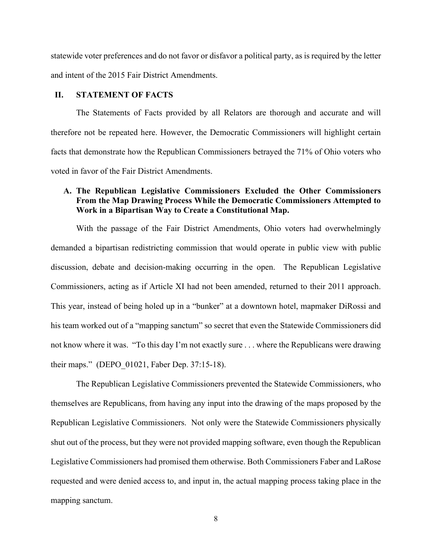statewide voter preferences and do not favor or disfavor a political party, as is required by the letter and intent of the 2015 Fair District Amendments.

## **II. STATEMENT OF FACTS**

The Statements of Facts provided by all Relators are thorough and accurate and will therefore not be repeated here. However, the Democratic Commissioners will highlight certain facts that demonstrate how the Republican Commissioners betrayed the 71% of Ohio voters who voted in favor of the Fair District Amendments.

# **A. The Republican Legislative Commissioners Excluded the Other Commissioners From the Map Drawing Process While the Democratic Commissioners Attempted to Work in a Bipartisan Way to Create a Constitutional Map.**

With the passage of the Fair District Amendments, Ohio voters had overwhelmingly demanded a bipartisan redistricting commission that would operate in public view with public discussion, debate and decision-making occurring in the open. The Republican Legislative Commissioners, acting as if Article XI had not been amended, returned to their 2011 approach. This year, instead of being holed up in a "bunker" at a downtown hotel, mapmaker DiRossi and his team worked out of a "mapping sanctum" so secret that even the Statewide Commissioners did not know where it was. "To this day I'm not exactly sure . . . where the Republicans were drawing their maps." (DEPO\_01021, Faber Dep. 37:15-18).

The Republican Legislative Commissioners prevented the Statewide Commissioners, who themselves are Republicans, from having any input into the drawing of the maps proposed by the Republican Legislative Commissioners. Not only were the Statewide Commissioners physically shut out of the process, but they were not provided mapping software, even though the Republican Legislative Commissioners had promised them otherwise. Both Commissioners Faber and LaRose requested and were denied access to, and input in, the actual mapping process taking place in the mapping sanctum.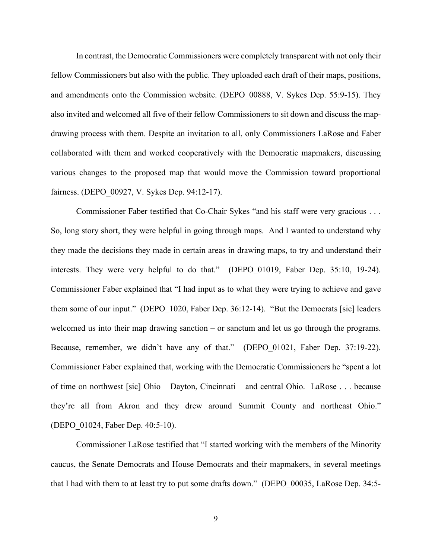In contrast, the Democratic Commissioners were completely transparent with not only their fellow Commissioners but also with the public. They uploaded each draft of their maps, positions, and amendments onto the Commission website. (DEPO\_00888, V. Sykes Dep. 55:9-15). They also invited and welcomed all five of their fellow Commissioners to sit down and discuss the mapdrawing process with them. Despite an invitation to all, only Commissioners LaRose and Faber collaborated with them and worked cooperatively with the Democratic mapmakers, discussing various changes to the proposed map that would move the Commission toward proportional fairness. (DEPO\_00927, V. Sykes Dep. 94:12-17).

Commissioner Faber testified that Co-Chair Sykes "and his staff were very gracious . . . So, long story short, they were helpful in going through maps. And I wanted to understand why they made the decisions they made in certain areas in drawing maps, to try and understand their interests. They were very helpful to do that." (DEPO\_01019, Faber Dep. 35:10, 19-24). Commissioner Faber explained that "I had input as to what they were trying to achieve and gave them some of our input." (DEPO 1020, Faber Dep. 36:12-14). "But the Democrats [sic] leaders welcomed us into their map drawing sanction – or sanctum and let us go through the programs. Because, remember, we didn't have any of that." (DEPO 01021, Faber Dep. 37:19-22). Commissioner Faber explained that, working with the Democratic Commissioners he "spent a lot of time on northwest [sic] Ohio – Dayton, Cincinnati – and central Ohio. LaRose . . . because they're all from Akron and they drew around Summit County and northeast Ohio." (DEPO\_01024, Faber Dep. 40:5-10).

Commissioner LaRose testified that "I started working with the members of the Minority caucus, the Senate Democrats and House Democrats and their mapmakers, in several meetings that I had with them to at least try to put some drafts down." (DEPO\_00035, LaRose Dep. 34:5-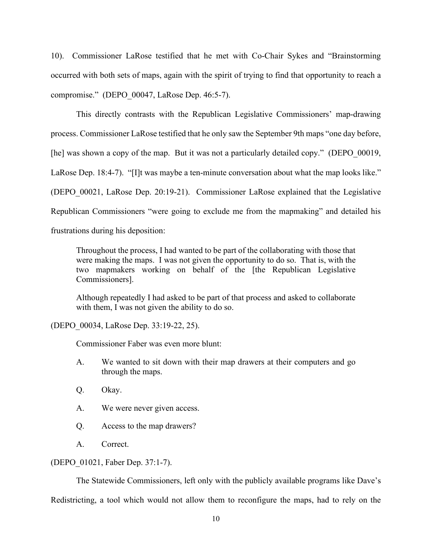10). Commissioner LaRose testified that he met with Co-Chair Sykes and "Brainstorming occurred with both sets of maps, again with the spirit of trying to find that opportunity to reach a compromise." (DEPO\_00047, LaRose Dep. 46:5-7).

This directly contrasts with the Republican Legislative Commissioners' map-drawing process. Commissioner LaRose testified that he only saw the September 9th maps "one day before, [he] was shown a copy of the map. But it was not a particularly detailed copy." (DEPO 00019, LaRose Dep. 18:4-7). "[I]t was maybe a ten-minute conversation about what the map looks like." (DEPO\_00021, LaRose Dep. 20:19-21). Commissioner LaRose explained that the Legislative Republican Commissioners "were going to exclude me from the mapmaking" and detailed his frustrations during his deposition:

Throughout the process, I had wanted to be part of the collaborating with those that were making the maps. I was not given the opportunity to do so. That is, with the two mapmakers working on behalf of the [the Republican Legislative Commissioners].

Although repeatedly I had asked to be part of that process and asked to collaborate with them, I was not given the ability to do so.

(DEPO\_00034, LaRose Dep. 33:19-22, 25).

Commissioner Faber was even more blunt:

- A. We wanted to sit down with their map drawers at their computers and go through the maps.
- Q. Okay.
- A. We were never given access.
- Q. Access to the map drawers?
- A. Correct.

### (DEPO\_01021, Faber Dep. 37:1-7).

The Statewide Commissioners, left only with the publicly available programs like Dave's Redistricting, a tool which would not allow them to reconfigure the maps, had to rely on the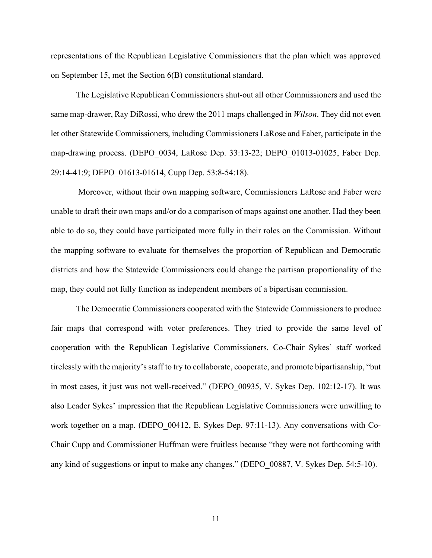representations of the Republican Legislative Commissioners that the plan which was approved on September 15, met the Section 6(B) constitutional standard.

The Legislative Republican Commissioners shut-out all other Commissioners and used the same map-drawer, Ray DiRossi, who drew the 2011 maps challenged in *Wilson*. They did not even let other Statewide Commissioners, including Commissioners LaRose and Faber, participate in the map-drawing process. (DEPO\_0034, LaRose Dep. 33:13-22; DEPO\_01013-01025, Faber Dep. 29:14-41:9; DEPO\_01613-01614, Cupp Dep. 53:8-54:18).

 Moreover, without their own mapping software, Commissioners LaRose and Faber were unable to draft their own maps and/or do a comparison of maps against one another. Had they been able to do so, they could have participated more fully in their roles on the Commission. Without the mapping software to evaluate for themselves the proportion of Republican and Democratic districts and how the Statewide Commissioners could change the partisan proportionality of the map, they could not fully function as independent members of a bipartisan commission.

The Democratic Commissioners cooperated with the Statewide Commissioners to produce fair maps that correspond with voter preferences. They tried to provide the same level of cooperation with the Republican Legislative Commissioners. Co-Chair Sykes' staff worked tirelessly with the majority's staff to try to collaborate, cooperate, and promote bipartisanship, "but in most cases, it just was not well-received." (DEPO\_00935, V. Sykes Dep. 102:12-17). It was also Leader Sykes' impression that the Republican Legislative Commissioners were unwilling to work together on a map. (DEPO 00412, E. Sykes Dep. 97:11-13). Any conversations with Co-Chair Cupp and Commissioner Huffman were fruitless because "they were not forthcoming with any kind of suggestions or input to make any changes." (DEPO\_00887, V. Sykes Dep. 54:5-10).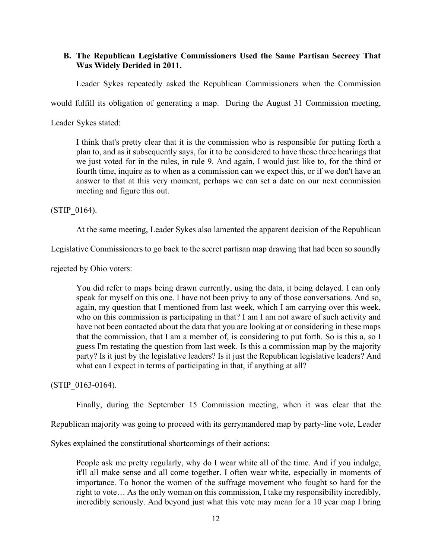## **B. The Republican Legislative Commissioners Used the Same Partisan Secrecy That Was Widely Derided in 2011.**

Leader Sykes repeatedly asked the Republican Commissioners when the Commission

would fulfill its obligation of generating a map. During the August 31 Commission meeting,

Leader Sykes stated:

I think that's pretty clear that it is the commission who is responsible for putting forth a plan to, and as it subsequently says, for it to be considered to have those three hearings that we just voted for in the rules, in rule 9. And again, I would just like to, for the third or fourth time, inquire as to when as a commission can we expect this, or if we don't have an answer to that at this very moment, perhaps we can set a date on our next commission meeting and figure this out.

(STIP\_0164).

At the same meeting, Leader Sykes also lamented the apparent decision of the Republican

Legislative Commissioners to go back to the secret partisan map drawing that had been so soundly

rejected by Ohio voters:

You did refer to maps being drawn currently, using the data, it being delayed. I can only speak for myself on this one. I have not been privy to any of those conversations. And so, again, my question that I mentioned from last week, which I am carrying over this week, who on this commission is participating in that? I am I am not aware of such activity and have not been contacted about the data that you are looking at or considering in these maps that the commission, that I am a member of, is considering to put forth. So is this a, so I guess I'm restating the question from last week. Is this a commission map by the majority party? Is it just by the legislative leaders? Is it just the Republican legislative leaders? And what can I expect in terms of participating in that, if anything at all?

(STIP\_0163-0164).

Finally, during the September 15 Commission meeting, when it was clear that the

Republican majority was going to proceed with its gerrymandered map by party-line vote, Leader

Sykes explained the constitutional shortcomings of their actions:

People ask me pretty regularly, why do I wear white all of the time. And if you indulge, it'll all make sense and all come together. I often wear white, especially in moments of importance. To honor the women of the suffrage movement who fought so hard for the right to vote… As the only woman on this commission, I take my responsibility incredibly, incredibly seriously. And beyond just what this vote may mean for a 10 year map I bring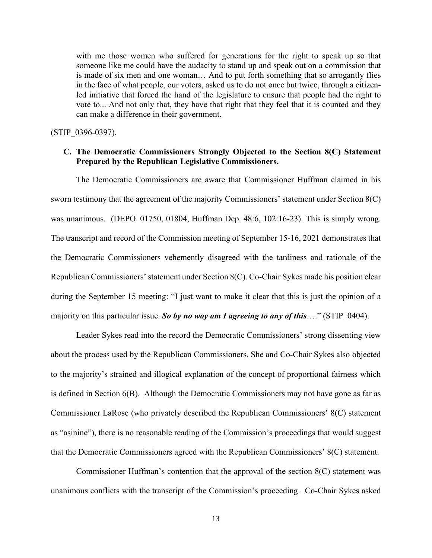with me those women who suffered for generations for the right to speak up so that someone like me could have the audacity to stand up and speak out on a commission that is made of six men and one woman… And to put forth something that so arrogantly flies in the face of what people, our voters, asked us to do not once but twice, through a citizenled initiative that forced the hand of the legislature to ensure that people had the right to vote to... And not only that, they have that right that they feel that it is counted and they can make a difference in their government.

(STIP\_0396-0397).

# **C. The Democratic Commissioners Strongly Objected to the Section 8(C) Statement Prepared by the Republican Legislative Commissioners.**

The Democratic Commissioners are aware that Commissioner Huffman claimed in his sworn testimony that the agreement of the majority Commissioners' statement under Section 8(C) was unanimous. (DEPO\_01750, 01804, Huffman Dep. 48:6, 102:16-23). This is simply wrong. The transcript and record of the Commission meeting of September 15-16, 2021 demonstrates that the Democratic Commissioners vehemently disagreed with the tardiness and rationale of the Republican Commissioners' statement under Section 8(C). Co-Chair Sykes made his position clear during the September 15 meeting: "I just want to make it clear that this is just the opinion of a majority on this particular issue. *So by no way am I agreeing to any of this*…." (STIP\_0404).

Leader Sykes read into the record the Democratic Commissioners' strong dissenting view about the process used by the Republican Commissioners. She and Co-Chair Sykes also objected to the majority's strained and illogical explanation of the concept of proportional fairness which is defined in Section 6(B). Although the Democratic Commissioners may not have gone as far as Commissioner LaRose (who privately described the Republican Commissioners' 8(C) statement as "asinine"), there is no reasonable reading of the Commission's proceedings that would suggest that the Democratic Commissioners agreed with the Republican Commissioners' 8(C) statement.

Commissioner Huffman's contention that the approval of the section 8(C) statement was unanimous conflicts with the transcript of the Commission's proceeding. Co-Chair Sykes asked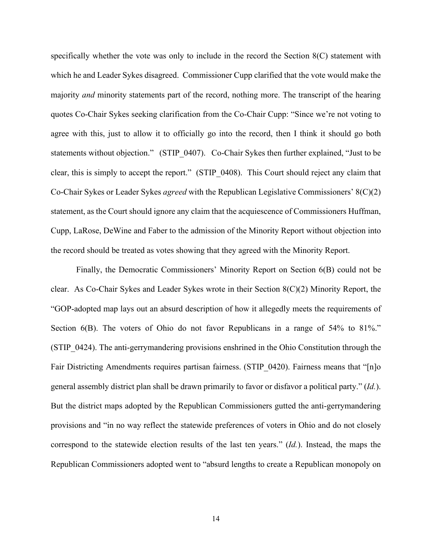specifically whether the vote was only to include in the record the Section 8(C) statement with which he and Leader Sykes disagreed. Commissioner Cupp clarified that the vote would make the majority *and* minority statements part of the record, nothing more. The transcript of the hearing quotes Co-Chair Sykes seeking clarification from the Co-Chair Cupp: "Since we're not voting to agree with this, just to allow it to officially go into the record, then I think it should go both statements without objection." (STIP 0407). Co-Chair Sykes then further explained, "Just to be clear, this is simply to accept the report." (STIP\_0408). This Court should reject any claim that Co-Chair Sykes or Leader Sykes *agreed* with the Republican Legislative Commissioners' 8(C)(2) statement, as the Court should ignore any claim that the acquiescence of Commissioners Huffman, Cupp, LaRose, DeWine and Faber to the admission of the Minority Report without objection into the record should be treated as votes showing that they agreed with the Minority Report.

Finally, the Democratic Commissioners' Minority Report on Section 6(B) could not be clear. As Co-Chair Sykes and Leader Sykes wrote in their Section 8(C)(2) Minority Report, the "GOP-adopted map lays out an absurd description of how it allegedly meets the requirements of Section 6(B). The voters of Ohio do not favor Republicans in a range of 54% to 81%." (STIP\_0424). The anti-gerrymandering provisions enshrined in the Ohio Constitution through the Fair Districting Amendments requires partisan fairness. (STIP 0420). Fairness means that "[n]o general assembly district plan shall be drawn primarily to favor or disfavor a political party." (*Id.*). But the district maps adopted by the Republican Commissioners gutted the anti-gerrymandering provisions and "in no way reflect the statewide preferences of voters in Ohio and do not closely correspond to the statewide election results of the last ten years." (*Id.*). Instead, the maps the Republican Commissioners adopted went to "absurd lengths to create a Republican monopoly on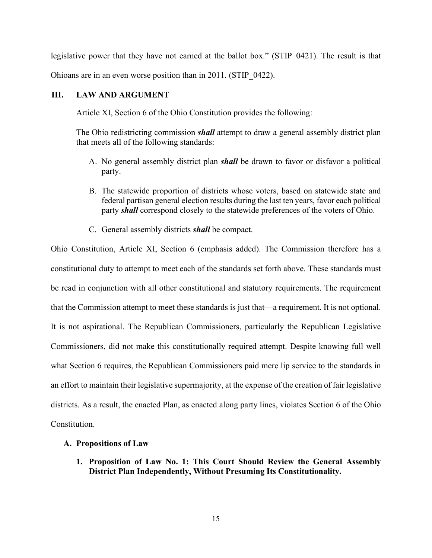legislative power that they have not earned at the ballot box." (STIP 0421). The result is that Ohioans are in an even worse position than in 2011. (STIP\_0422).

## **III. LAW AND ARGUMENT**

Article XI, Section 6 of the Ohio Constitution provides the following:

The Ohio redistricting commission *shall* attempt to draw a general assembly district plan that meets all of the following standards:

- A. No general assembly district plan *shall* be drawn to favor or disfavor a political party.
- B. The statewide proportion of districts whose voters, based on statewide state and federal partisan general election results during the last ten years, favor each political party *shall* correspond closely to the statewide preferences of the voters of Ohio.
- C. General assembly districts *shall* be compact.

Ohio Constitution, Article XI, Section 6 (emphasis added). The Commission therefore has a constitutional duty to attempt to meet each of the standards set forth above. These standards must be read in conjunction with all other constitutional and statutory requirements. The requirement that the Commission attempt to meet these standards is just that—a requirement. It is not optional. It is not aspirational. The Republican Commissioners, particularly the Republican Legislative Commissioners, did not make this constitutionally required attempt. Despite knowing full well what Section 6 requires, the Republican Commissioners paid mere lip service to the standards in an effort to maintain their legislative supermajority, at the expense of the creation of fair legislative districts. As a result, the enacted Plan, as enacted along party lines, violates Section 6 of the Ohio Constitution.

## **A. Propositions of Law**

**1. Proposition of Law No. 1: This Court Should Review the General Assembly District Plan Independently, Without Presuming Its Constitutionality.**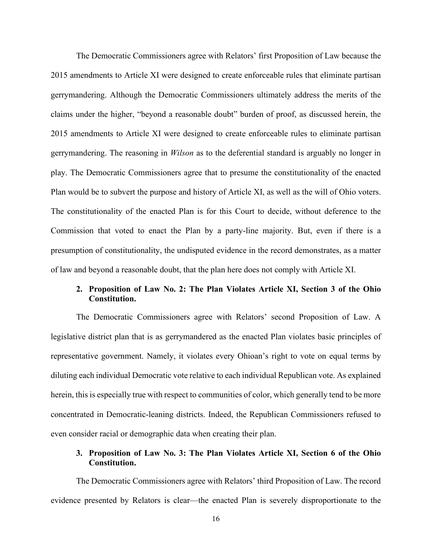The Democratic Commissioners agree with Relators' first Proposition of Law because the 2015 amendments to Article XI were designed to create enforceable rules that eliminate partisan gerrymandering. Although the Democratic Commissioners ultimately address the merits of the claims under the higher, "beyond a reasonable doubt" burden of proof, as discussed herein, the 2015 amendments to Article XI were designed to create enforceable rules to eliminate partisan gerrymandering. The reasoning in *Wilson* as to the deferential standard is arguably no longer in play. The Democratic Commissioners agree that to presume the constitutionality of the enacted Plan would be to subvert the purpose and history of Article XI, as well as the will of Ohio voters. The constitutionality of the enacted Plan is for this Court to decide, without deference to the Commission that voted to enact the Plan by a party-line majority. But, even if there is a presumption of constitutionality, the undisputed evidence in the record demonstrates, as a matter of law and beyond a reasonable doubt, that the plan here does not comply with Article XI.

# **2. Proposition of Law No. 2: The Plan Violates Article XI, Section 3 of the Ohio Constitution.**

The Democratic Commissioners agree with Relators' second Proposition of Law. A legislative district plan that is as gerrymandered as the enacted Plan violates basic principles of representative government. Namely, it violates every Ohioan's right to vote on equal terms by diluting each individual Democratic vote relative to each individual Republican vote. As explained herein, this is especially true with respect to communities of color, which generally tend to be more concentrated in Democratic-leaning districts. Indeed, the Republican Commissioners refused to even consider racial or demographic data when creating their plan.

# **3. Proposition of Law No. 3: The Plan Violates Article XI, Section 6 of the Ohio Constitution.**

The Democratic Commissioners agree with Relators' third Proposition of Law. The record evidence presented by Relators is clear—the enacted Plan is severely disproportionate to the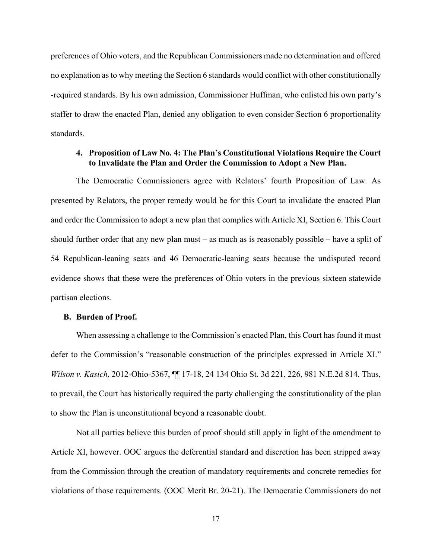preferences of Ohio voters, and the Republican Commissioners made no determination and offered no explanation as to why meeting the Section 6 standards would conflict with other constitutionally -required standards. By his own admission, Commissioner Huffman, who enlisted his own party's staffer to draw the enacted Plan, denied any obligation to even consider Section 6 proportionality standards.

### **4. Proposition of Law No. 4: The Plan's Constitutional Violations Require the Court to Invalidate the Plan and Order the Commission to Adopt a New Plan.**

The Democratic Commissioners agree with Relators' fourth Proposition of Law. As presented by Relators, the proper remedy would be for this Court to invalidate the enacted Plan and order the Commission to adopt a new plan that complies with Article XI, Section 6. This Court should further order that any new plan must – as much as is reasonably possible – have a split of 54 Republican-leaning seats and 46 Democratic-leaning seats because the undisputed record evidence shows that these were the preferences of Ohio voters in the previous sixteen statewide partisan elections.

#### **B. Burden of Proof.**

When assessing a challenge to the Commission's enacted Plan, this Court has found it must defer to the Commission's "reasonable construction of the principles expressed in Article XI." *Wilson v. Kasich*, 2012-Ohio-5367, ¶¶ 17-18, 24 134 Ohio St. 3d 221, 226, 981 N.E.2d 814. Thus, to prevail, the Court has historically required the party challenging the constitutionality of the plan to show the Plan is unconstitutional beyond a reasonable doubt.

Not all parties believe this burden of proof should still apply in light of the amendment to Article XI, however. OOC argues the deferential standard and discretion has been stripped away from the Commission through the creation of mandatory requirements and concrete remedies for violations of those requirements. (OOC Merit Br. 20-21). The Democratic Commissioners do not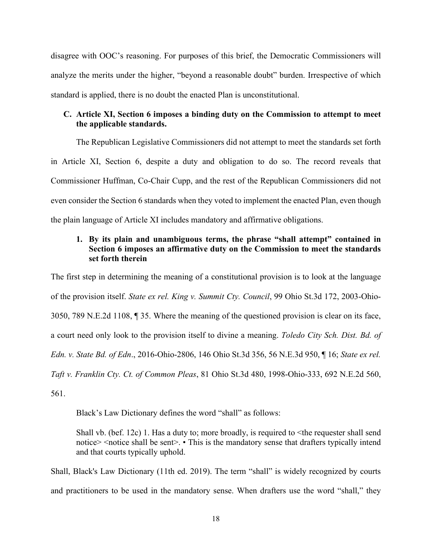disagree with OOC's reasoning. For purposes of this brief, the Democratic Commissioners will analyze the merits under the higher, "beyond a reasonable doubt" burden. Irrespective of which standard is applied, there is no doubt the enacted Plan is unconstitutional.

# **C. Article XI, Section 6 imposes a binding duty on the Commission to attempt to meet the applicable standards.**

The Republican Legislative Commissioners did not attempt to meet the standards set forth in Article XI, Section 6, despite a duty and obligation to do so. The record reveals that Commissioner Huffman, Co-Chair Cupp, and the rest of the Republican Commissioners did not even consider the Section 6 standards when they voted to implement the enacted Plan, even though the plain language of Article XI includes mandatory and affirmative obligations.

# **1. By its plain and unambiguous terms, the phrase "shall attempt" contained in Section 6 imposes an affirmative duty on the Commission to meet the standards set forth therein**

The first step in determining the meaning of a constitutional provision is to look at the language of the provision itself. *State ex rel. King v. Summit Cty. Council*, 99 Ohio St.3d 172, 2003-Ohio-3050, 789 N.E.2d 1108, ¶ 35. Where the meaning of the questioned provision is clear on its face, a court need only look to the provision itself to divine a meaning. *Toledo City Sch. Dist. Bd. of Edn. v. State Bd. of Edn*., 2016-Ohio-2806, 146 Ohio St.3d 356, 56 N.E.3d 950, ¶ 16; *State ex rel. Taft v. Franklin Cty. Ct. of Common Pleas*, 81 Ohio St.3d 480, 1998-Ohio-333, 692 N.E.2d 560, 561.

Black's Law Dictionary defines the word "shall" as follows:

Shall vb. (bef. 12c) 1. Has a duty to; more broadly, is required to  $\leq$  the requester shall send notice> <notice shall be sent>. • This is the mandatory sense that drafters typically intend and that courts typically uphold.

Shall, Black's Law Dictionary (11th ed. 2019). The term "shall" is widely recognized by courts and practitioners to be used in the mandatory sense. When drafters use the word "shall," they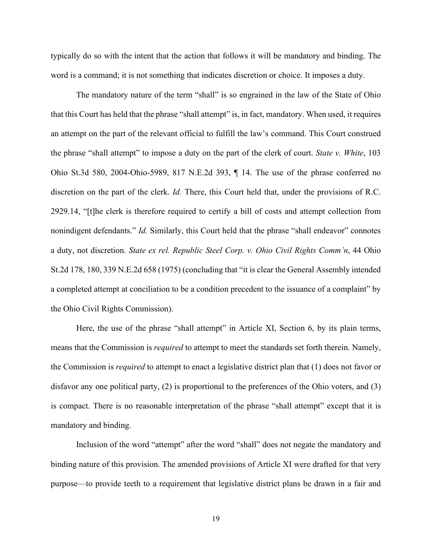typically do so with the intent that the action that follows it will be mandatory and binding. The word is a command; it is not something that indicates discretion or choice. It imposes a duty.

The mandatory nature of the term "shall" is so engrained in the law of the State of Ohio that this Court has held that the phrase "shall attempt" is, in fact, mandatory. When used, it requires an attempt on the part of the relevant official to fulfill the law's command. This Court construed the phrase "shall attempt" to impose a duty on the part of the clerk of court. *State v. White*, 103 Ohio St.3d 580, 2004-Ohio-5989, 817 N.E.2d 393, ¶ 14. The use of the phrase conferred no discretion on the part of the clerk. *Id.* There, this Court held that, under the provisions of R.C. 2929.14, "[t]he clerk is therefore required to certify a bill of costs and attempt collection from nonindigent defendants." *Id.* Similarly, this Court held that the phrase "shall endeavor" connotes a duty, not discretion. *State ex rel. Republic Steel Corp. v. Ohio Civil Rights Comm'n*, 44 Ohio St.2d 178, 180, 339 N.E.2d 658 (1975) (concluding that "it is clear the General Assembly intended a completed attempt at conciliation to be a condition precedent to the issuance of a complaint" by the Ohio Civil Rights Commission).

Here, the use of the phrase "shall attempt" in Article XI, Section 6, by its plain terms, means that the Commission is *required* to attempt to meet the standards set forth therein. Namely, the Commission is *required* to attempt to enact a legislative district plan that (1) does not favor or disfavor any one political party, (2) is proportional to the preferences of the Ohio voters, and (3) is compact. There is no reasonable interpretation of the phrase "shall attempt" except that it is mandatory and binding.

Inclusion of the word "attempt" after the word "shall" does not negate the mandatory and binding nature of this provision. The amended provisions of Article XI were drafted for that very purpose—to provide teeth to a requirement that legislative district plans be drawn in a fair and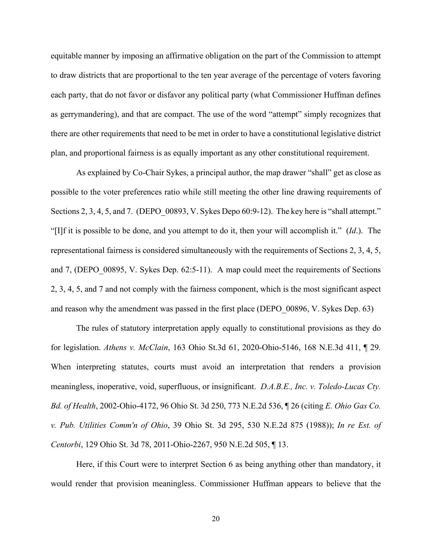equitable manner by imposing an affirmative obligation on the part of the Commission to attempt to draw districts that are proportional to the ten year average of the percentage of voters favoring each party, that do not favor or disfavor any political party (what Commissioner Huffman defines as gerrymandering), and that are compact. The use of the word "attempt" simply recognizes that there are other requirements that need to be met in order to have a constitutional legislative district plan, and proportional fairness is as equally important as any other constitutional requirement.

As explained by Co-Chair Sykes, a principal author, the map drawer "shall" get as close as possible to the voter preferences ratio while still meeting the other line drawing requirements of Sections 2, 3, 4, 5, and 7. (DEPO 00893, V. Sykes Depo 60:9-12). The key here is "shall attempt." "[I]f it is possible to be done, and you attempt to do it, then your will accomplish it." (*Id*.). The representational fairness is considered simultaneously with the requirements of Sections 2, 3, 4, 5, and 7, (DEPO\_00895, V. Sykes Dep. 62:5-11). A map could meet the requirements of Sections 2, 3, 4, 5, and 7 and not comply with the fairness component, which is the most significant aspect and reason why the amendment was passed in the first place (DEPO\_00896, V. Sykes Dep. 63)

The rules of statutory interpretation apply equally to constitutional provisions as they do for legislation. *Athens v. McClain*, 163 Ohio St.3d 61, 2020-Ohio-5146, 168 N.E.3d 411, ¶ 29*.* When interpreting statutes, courts must avoid an interpretation that renders a provision meaningless, inoperative, void, superfluous, or insignificant. *D.A.B.E., Inc. v. Toledo-Lucas Cty. Bd. of Health*, 2002-Ohio-4172, 96 Ohio St. 3d 250, 773 N.E.2d 536, ¶ 26 (citing *E. Ohio Gas Co. v. Pub. Utilities Comm'n of Ohio*, 39 Ohio St. 3d 295, 530 N.E.2d 875 (1988)); *In re Est. of Centorbi*, 129 Ohio St. 3d 78, 2011-Ohio-2267, 950 N.E.2d 505, ¶ 13.

Here, if this Court were to interpret Section 6 as being anything other than mandatory, it would render that provision meaningless. Commissioner Huffman appears to believe that the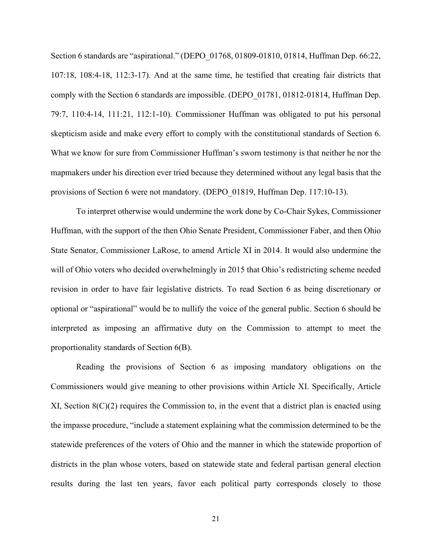Section 6 standards are "aspirational." (DEPO 01768, 01809-01810, 01814, Huffman Dep. 66:22, 107:18, 108:4-18, 112:3-17). And at the same time, he testified that creating fair districts that comply with the Section 6 standards are impossible. (DEPO\_01781, 01812-01814, Huffman Dep. 79:7, 110:4-14, 111:21, 112:1-10). Commissioner Huffman was obligated to put his personal skepticism aside and make every effort to comply with the constitutional standards of Section 6. What we know for sure from Commissioner Huffman's sworn testimony is that neither he nor the mapmakers under his direction ever tried because they determined without any legal basis that the provisions of Section 6 were not mandatory. (DEPO\_01819, Huffman Dep. 117:10-13).

To interpret otherwise would undermine the work done by Co-Chair Sykes, Commissioner Huffman, with the support of the then Ohio Senate President, Commissioner Faber, and then Ohio State Senator, Commissioner LaRose, to amend Article XI in 2014. It would also undermine the will of Ohio voters who decided overwhelmingly in 2015 that Ohio's redistricting scheme needed revision in order to have fair legislative districts. To read Section 6 as being discretionary or optional or "aspirational" would be to nullify the voice of the general public. Section 6 should be interpreted as imposing an affirmative duty on the Commission to attempt to meet the proportionality standards of Section 6(B).

Reading the provisions of Section 6 as imposing mandatory obligations on the Commissioners would give meaning to other provisions within Article XI. Specifically, Article XI, Section  $8(C)(2)$  requires the Commission to, in the event that a district plan is enacted using the impasse procedure, "include a statement explaining what the commission determined to be the statewide preferences of the voters of Ohio and the manner in which the statewide proportion of districts in the plan whose voters, based on statewide state and federal partisan general election results during the last ten years, favor each political party corresponds closely to those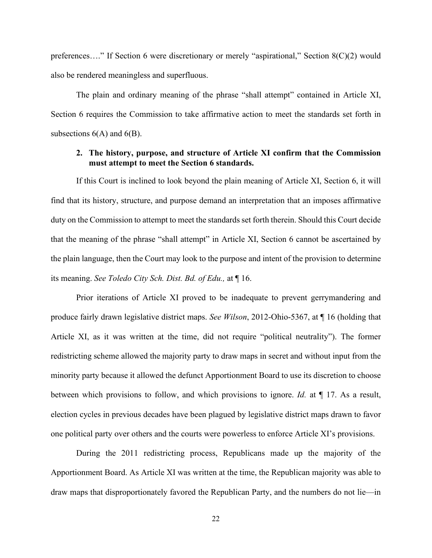preferences…." If Section 6 were discretionary or merely "aspirational," Section 8(C)(2) would also be rendered meaningless and superfluous.

The plain and ordinary meaning of the phrase "shall attempt" contained in Article XI, Section 6 requires the Commission to take affirmative action to meet the standards set forth in subsections  $6(A)$  and  $6(B)$ .

### **2. The history, purpose, and structure of Article XI confirm that the Commission must attempt to meet the Section 6 standards.**

If this Court is inclined to look beyond the plain meaning of Article XI, Section 6, it will find that its history, structure, and purpose demand an interpretation that an imposes affirmative duty on the Commission to attempt to meet the standards set forth therein. Should this Court decide that the meaning of the phrase "shall attempt" in Article XI, Section 6 cannot be ascertained by the plain language, then the Court may look to the purpose and intent of the provision to determine its meaning. *See Toledo City Sch. Dist. Bd. of Edu.,* at ¶ 16.

Prior iterations of Article XI proved to be inadequate to prevent gerrymandering and produce fairly drawn legislative district maps. *See Wilson*, 2012-Ohio-5367, at ¶ 16 (holding that Article XI, as it was written at the time, did not require "political neutrality"). The former redistricting scheme allowed the majority party to draw maps in secret and without input from the minority party because it allowed the defunct Apportionment Board to use its discretion to choose between which provisions to follow, and which provisions to ignore. *Id.* at ¶ 17. As a result, election cycles in previous decades have been plagued by legislative district maps drawn to favor one political party over others and the courts were powerless to enforce Article XI's provisions.

During the 2011 redistricting process, Republicans made up the majority of the Apportionment Board. As Article XI was written at the time, the Republican majority was able to draw maps that disproportionately favored the Republican Party, and the numbers do not lie—in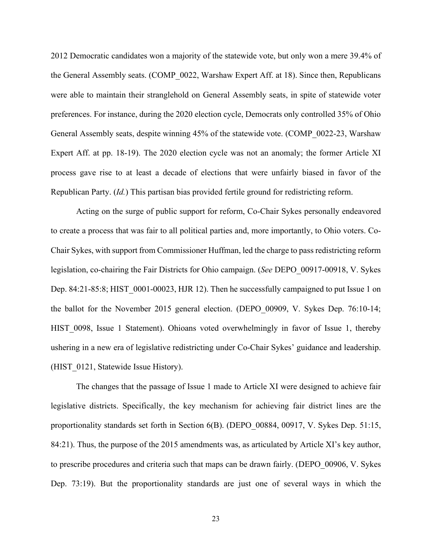2012 Democratic candidates won a majority of the statewide vote, but only won a mere 39.4% of the General Assembly seats. (COMP\_0022, Warshaw Expert Aff. at 18). Since then, Republicans were able to maintain their stranglehold on General Assembly seats, in spite of statewide voter preferences. For instance, during the 2020 election cycle, Democrats only controlled 35% of Ohio General Assembly seats, despite winning 45% of the statewide vote. (COMP\_0022-23, Warshaw Expert Aff. at pp. 18-19). The 2020 election cycle was not an anomaly; the former Article XI process gave rise to at least a decade of elections that were unfairly biased in favor of the Republican Party. (*Id.*) This partisan bias provided fertile ground for redistricting reform.

Acting on the surge of public support for reform, Co-Chair Sykes personally endeavored to create a process that was fair to all political parties and, more importantly, to Ohio voters. Co-Chair Sykes, with support from Commissioner Huffman, led the charge to pass redistricting reform legislation, co-chairing the Fair Districts for Ohio campaign. (*See* DEPO\_00917-00918, V. Sykes Dep. 84:21-85:8; HIST 0001-00023, HJR 12). Then he successfully campaigned to put Issue 1 on the ballot for the November 2015 general election. (DEPO\_00909, V. Sykes Dep. 76:10-14; HIST 0098, Issue 1 Statement). Ohioans voted overwhelmingly in favor of Issue 1, thereby ushering in a new era of legislative redistricting under Co-Chair Sykes' guidance and leadership. (HIST 0121, Statewide Issue History).

The changes that the passage of Issue 1 made to Article XI were designed to achieve fair legislative districts. Specifically, the key mechanism for achieving fair district lines are the proportionality standards set forth in Section 6(B). (DEPO\_00884, 00917, V. Sykes Dep. 51:15, 84:21). Thus, the purpose of the 2015 amendments was, as articulated by Article XI's key author, to prescribe procedures and criteria such that maps can be drawn fairly. (DEPO\_00906, V. Sykes Dep. 73:19). But the proportionality standards are just one of several ways in which the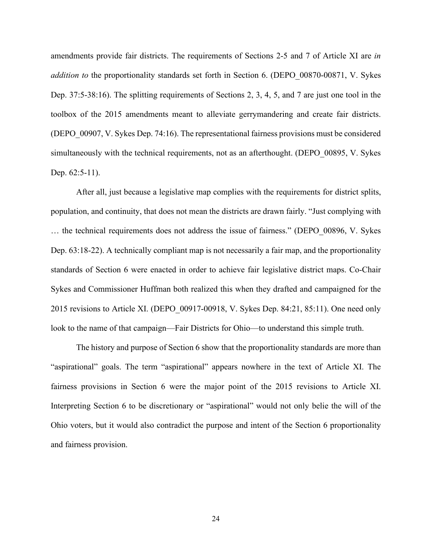amendments provide fair districts. The requirements of Sections 2-5 and 7 of Article XI are *in addition to* the proportionality standards set forth in Section 6. (DEPO\_00870-00871, V. Sykes Dep. 37:5-38:16). The splitting requirements of Sections 2, 3, 4, 5, and 7 are just one tool in the toolbox of the 2015 amendments meant to alleviate gerrymandering and create fair districts. (DEPO\_00907, V. Sykes Dep. 74:16). The representational fairness provisions must be considered simultaneously with the technical requirements, not as an afterthought. (DEPO 00895, V. Sykes Dep. 62:5-11).

After all, just because a legislative map complies with the requirements for district splits, population, and continuity, that does not mean the districts are drawn fairly. "Just complying with … the technical requirements does not address the issue of fairness." (DEPO\_00896, V. Sykes Dep. 63:18-22). A technically compliant map is not necessarily a fair map, and the proportionality standards of Section 6 were enacted in order to achieve fair legislative district maps. Co-Chair Sykes and Commissioner Huffman both realized this when they drafted and campaigned for the 2015 revisions to Article XI. (DEPO\_00917-00918, V. Sykes Dep. 84:21, 85:11). One need only look to the name of that campaign—Fair Districts for Ohio—to understand this simple truth.

The history and purpose of Section 6 show that the proportionality standards are more than "aspirational" goals. The term "aspirational" appears nowhere in the text of Article XI. The fairness provisions in Section 6 were the major point of the 2015 revisions to Article XI. Interpreting Section 6 to be discretionary or "aspirational" would not only belie the will of the Ohio voters, but it would also contradict the purpose and intent of the Section 6 proportionality and fairness provision.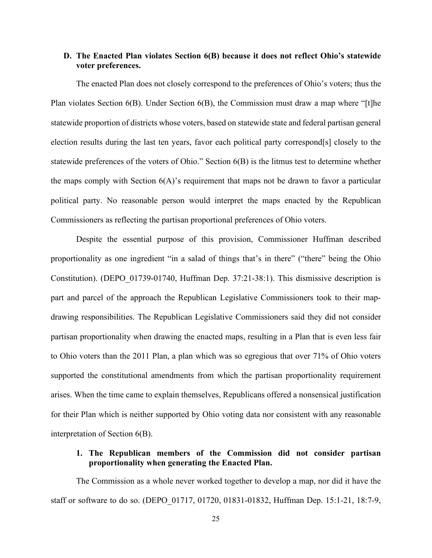## **D. The Enacted Plan violates Section 6(B) because it does not reflect Ohio's statewide voter preferences.**

The enacted Plan does not closely correspond to the preferences of Ohio's voters; thus the Plan violates Section 6(B). Under Section 6(B), the Commission must draw a map where "[t]he statewide proportion of districts whose voters, based on statewide state and federal partisan general election results during the last ten years, favor each political party correspond[s] closely to the statewide preferences of the voters of Ohio." Section 6(B) is the litmus test to determine whether the maps comply with Section  $6(A)$ 's requirement that maps not be drawn to favor a particular political party. No reasonable person would interpret the maps enacted by the Republican Commissioners as reflecting the partisan proportional preferences of Ohio voters.

Despite the essential purpose of this provision, Commissioner Huffman described proportionality as one ingredient "in a salad of things that's in there" ("there" being the Ohio Constitution). (DEPO\_01739-01740, Huffman Dep. 37:21-38:1). This dismissive description is part and parcel of the approach the Republican Legislative Commissioners took to their mapdrawing responsibilities. The Republican Legislative Commissioners said they did not consider partisan proportionality when drawing the enacted maps, resulting in a Plan that is even less fair to Ohio voters than the 2011 Plan, a plan which was so egregious that over 71% of Ohio voters supported the constitutional amendments from which the partisan proportionality requirement arises. When the time came to explain themselves, Republicans offered a nonsensical justification for their Plan which is neither supported by Ohio voting data nor consistent with any reasonable interpretation of Section 6(B).

# **1. The Republican members of the Commission did not consider partisan proportionality when generating the Enacted Plan.**

The Commission as a whole never worked together to develop a map, nor did it have the staff or software to do so. (DEPO\_01717, 01720, 01831-01832, Huffman Dep. 15:1-21, 18:7-9,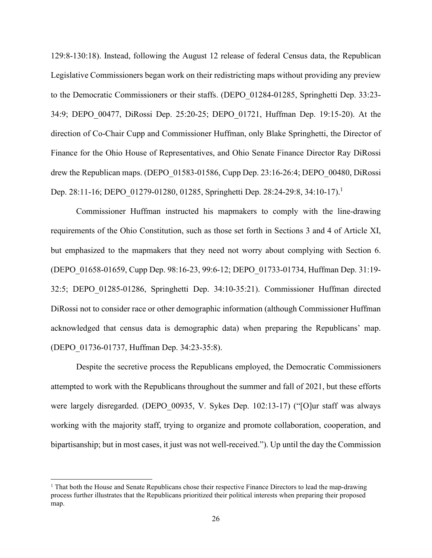129:8-130:18). Instead, following the August 12 release of federal Census data, the Republican Legislative Commissioners began work on their redistricting maps without providing any preview to the Democratic Commissioners or their staffs. (DEPO\_01284-01285, Springhetti Dep. 33:23- 34:9; DEPO\_00477, DiRossi Dep. 25:20-25; DEPO\_01721, Huffman Dep. 19:15-20). At the direction of Co-Chair Cupp and Commissioner Huffman, only Blake Springhetti, the Director of Finance for the Ohio House of Representatives, and Ohio Senate Finance Director Ray DiRossi drew the Republican maps. (DEPO\_01583-01586, Cupp Dep. 23:16-26:4; DEPO\_00480, DiRossi Dep. 28:11-16; DEPO\_01279-01280, 01285, Springhetti Dep. 28:24-29:8, 34:10-17).<sup>1</sup>

Commissioner Huffman instructed his mapmakers to comply with the line-drawing requirements of the Ohio Constitution, such as those set forth in Sections 3 and 4 of Article XI, but emphasized to the mapmakers that they need not worry about complying with Section 6. (DEPO\_01658-01659, Cupp Dep. 98:16-23, 99:6-12; DEPO\_01733-01734, Huffman Dep. 31:19- 32:5; DEPO\_01285-01286, Springhetti Dep. 34:10-35:21). Commissioner Huffman directed DiRossi not to consider race or other demographic information (although Commissioner Huffman acknowledged that census data is demographic data) when preparing the Republicans' map. (DEPO\_01736-01737, Huffman Dep. 34:23-35:8).

Despite the secretive process the Republicans employed, the Democratic Commissioners attempted to work with the Republicans throughout the summer and fall of 2021, but these efforts were largely disregarded. (DEPO 00935, V. Sykes Dep. 102:13-17) ("[O]ur staff was always working with the majority staff, trying to organize and promote collaboration, cooperation, and bipartisanship; but in most cases, it just was not well-received."). Up until the day the Commission

<sup>&</sup>lt;sup>1</sup> That both the House and Senate Republicans chose their respective Finance Directors to lead the map-drawing process further illustrates that the Republicans prioritized their political interests when preparing their proposed map.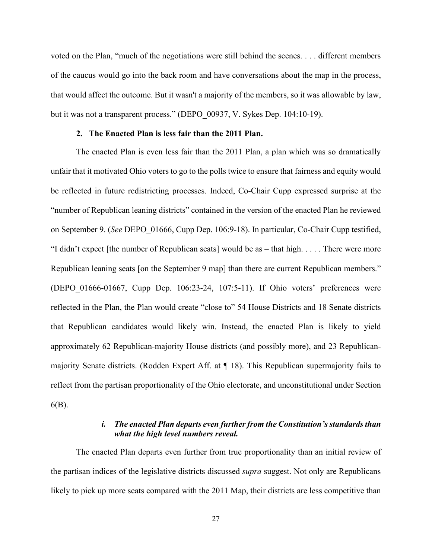voted on the Plan, "much of the negotiations were still behind the scenes. . . . different members of the caucus would go into the back room and have conversations about the map in the process, that would affect the outcome. But it wasn't a majority of the members, so it was allowable by law, but it was not a transparent process." (DEPO\_00937, V. Sykes Dep. 104:10-19).

#### **2. The Enacted Plan is less fair than the 2011 Plan.**

The enacted Plan is even less fair than the 2011 Plan, a plan which was so dramatically unfair that it motivated Ohio voters to go to the polls twice to ensure that fairness and equity would be reflected in future redistricting processes. Indeed, Co-Chair Cupp expressed surprise at the "number of Republican leaning districts" contained in the version of the enacted Plan he reviewed on September 9. (*See* DEPO\_01666, Cupp Dep. 106:9-18). In particular, Co-Chair Cupp testified, "I didn't expect [the number of Republican seats] would be as – that high. . . . . There were more Republican leaning seats [on the September 9 map] than there are current Republican members." (DEPO\_01666-01667, Cupp Dep. 106:23-24, 107:5-11). If Ohio voters' preferences were reflected in the Plan, the Plan would create "close to" 54 House Districts and 18 Senate districts that Republican candidates would likely win. Instead, the enacted Plan is likely to yield approximately 62 Republican-majority House districts (and possibly more), and 23 Republicanmajority Senate districts. (Rodden Expert Aff. at ¶ 18). This Republican supermajority fails to reflect from the partisan proportionality of the Ohio electorate, and unconstitutional under Section 6(B).

## *i. The enacted Plan departs even further from the Constitution's standards than what the high level numbers reveal.*

The enacted Plan departs even further from true proportionality than an initial review of the partisan indices of the legislative districts discussed *supra* suggest. Not only are Republicans likely to pick up more seats compared with the 2011 Map, their districts are less competitive than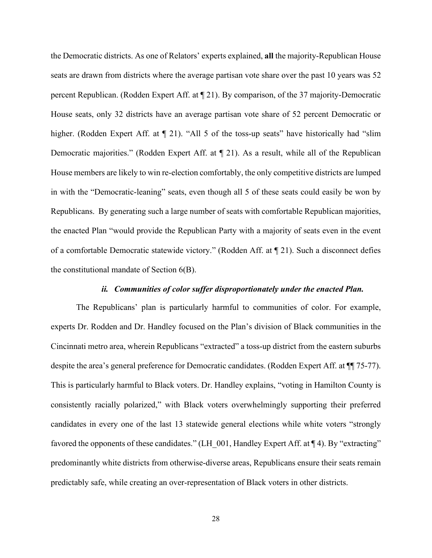the Democratic districts. As one of Relators' experts explained, **all** the majority-Republican House seats are drawn from districts where the average partisan vote share over the past 10 years was 52 percent Republican. (Rodden Expert Aff. at ¶ 21). By comparison, of the 37 majority-Democratic House seats, only 32 districts have an average partisan vote share of 52 percent Democratic or higher. (Rodden Expert Aff. at  $\P$  21). "All 5 of the toss-up seats" have historically had "slim Democratic majorities." (Rodden Expert Aff. at ¶ 21). As a result, while all of the Republican House members are likely to win re-election comfortably, the only competitive districts are lumped in with the "Democratic-leaning" seats, even though all 5 of these seats could easily be won by Republicans. By generating such a large number of seats with comfortable Republican majorities, the enacted Plan "would provide the Republican Party with a majority of seats even in the event of a comfortable Democratic statewide victory." (Rodden Aff. at ¶ 21). Such a disconnect defies the constitutional mandate of Section 6(B).

### *ii. Communities of color suffer disproportionately under the enacted Plan.*

The Republicans' plan is particularly harmful to communities of color. For example, experts Dr. Rodden and Dr. Handley focused on the Plan's division of Black communities in the Cincinnati metro area, wherein Republicans "extracted" a toss-up district from the eastern suburbs despite the area's general preference for Democratic candidates. (Rodden Expert Aff. at ¶¶ 75-77). This is particularly harmful to Black voters. Dr. Handley explains, "voting in Hamilton County is consistently racially polarized," with Black voters overwhelmingly supporting their preferred candidates in every one of the last 13 statewide general elections while white voters "strongly favored the opponents of these candidates." (LH 001, Handley Expert Aff. at ¶ 4). By "extracting" predominantly white districts from otherwise-diverse areas, Republicans ensure their seats remain predictably safe, while creating an over-representation of Black voters in other districts.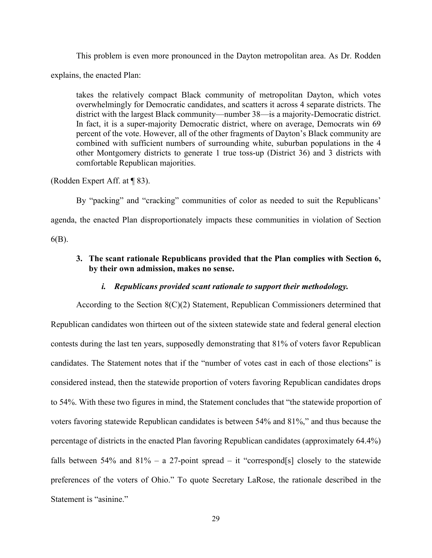This problem is even more pronounced in the Dayton metropolitan area. As Dr. Rodden

explains, the enacted Plan:

takes the relatively compact Black community of metropolitan Dayton, which votes overwhelmingly for Democratic candidates, and scatters it across 4 separate districts. The district with the largest Black community—number 38—is a majority-Democratic district. In fact, it is a super-majority Democratic district, where on average, Democrats win 69 percent of the vote. However, all of the other fragments of Dayton's Black community are combined with sufficient numbers of surrounding white, suburban populations in the 4 other Montgomery districts to generate 1 true toss-up (District 36) and 3 districts with comfortable Republican majorities.

(Rodden Expert Aff. at ¶ 83).

By "packing" and "cracking" communities of color as needed to suit the Republicans' agenda, the enacted Plan disproportionately impacts these communities in violation of Section 6(B).

# **3. The scant rationale Republicans provided that the Plan complies with Section 6, by their own admission, makes no sense.**

## *i. Republicans provided scant rationale to support their methodology.*

According to the Section 8(C)(2) Statement, Republican Commissioners determined that Republican candidates won thirteen out of the sixteen statewide state and federal general election contests during the last ten years, supposedly demonstrating that 81% of voters favor Republican candidates. The Statement notes that if the "number of votes cast in each of those elections" is considered instead, then the statewide proportion of voters favoring Republican candidates drops to 54%. With these two figures in mind, the Statement concludes that "the statewide proportion of voters favoring statewide Republican candidates is between 54% and 81%," and thus because the percentage of districts in the enacted Plan favoring Republican candidates (approximately 64.4%) falls between 54% and 81% – a 27-point spread – it "correspond[s] closely to the statewide preferences of the voters of Ohio." To quote Secretary LaRose, the rationale described in the Statement is "asinine."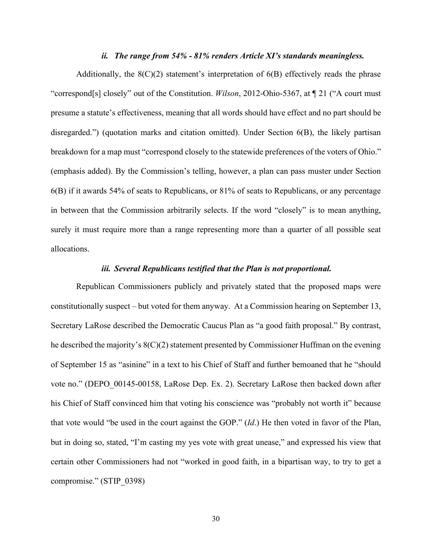#### *ii. The range from 54% - 81% renders Article XI's standards meaningless.*

Additionally, the  $8(C)(2)$  statement's interpretation of  $6(B)$  effectively reads the phrase "correspond[s] closely" out of the Constitution. *Wilson*, 2012-Ohio-5367, at ¶ 21 ("A court must presume a statute's effectiveness, meaning that all words should have effect and no part should be disregarded.") (quotation marks and citation omitted). Under Section 6(B), the likely partisan breakdown for a map must "correspond closely to the statewide preferences of the voters of Ohio." (emphasis added). By the Commission's telling, however, a plan can pass muster under Section 6(B) if it awards 54% of seats to Republicans, or 81% of seats to Republicans, or any percentage in between that the Commission arbitrarily selects. If the word "closely" is to mean anything, surely it must require more than a range representing more than a quarter of all possible seat allocations.

#### *iii. Several Republicans testified that the Plan is not proportional.*

Republican Commissioners publicly and privately stated that the proposed maps were constitutionally suspect – but voted for them anyway. At a Commission hearing on September 13, Secretary LaRose described the Democratic Caucus Plan as "a good faith proposal." By contrast, he described the majority's 8(C)(2) statement presented by Commissioner Huffman on the evening of September 15 as "asinine" in a text to his Chief of Staff and further bemoaned that he "should vote no." (DEPO\_00145-00158, LaRose Dep. Ex. 2). Secretary LaRose then backed down after his Chief of Staff convinced him that voting his conscience was "probably not worth it" because that vote would "be used in the court against the GOP." (*Id*.) He then voted in favor of the Plan, but in doing so, stated, "I'm casting my yes vote with great unease," and expressed his view that certain other Commissioners had not "worked in good faith, in a bipartisan way, to try to get a compromise." (STIP\_0398)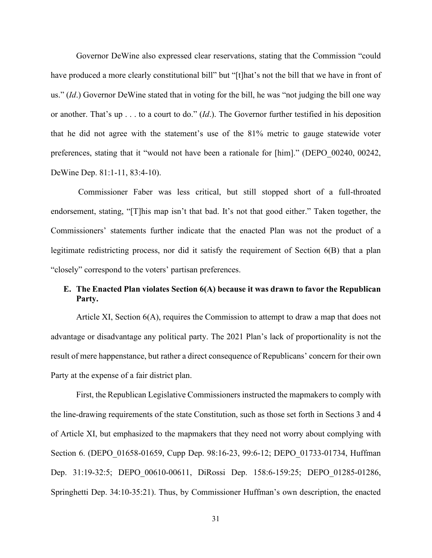Governor DeWine also expressed clear reservations, stating that the Commission "could have produced a more clearly constitutional bill" but "[t]hat's not the bill that we have in front of us." (*Id*.) Governor DeWine stated that in voting for the bill, he was "not judging the bill one way or another. That's up . . . to a court to do." (*Id*.). The Governor further testified in his deposition that he did not agree with the statement's use of the 81% metric to gauge statewide voter preferences, stating that it "would not have been a rationale for [him]." (DEPO\_00240, 00242, DeWine Dep. 81:1-11, 83:4-10).

 Commissioner Faber was less critical, but still stopped short of a full-throated endorsement, stating, "[T]his map isn't that bad. It's not that good either." Taken together, the Commissioners' statements further indicate that the enacted Plan was not the product of a legitimate redistricting process, nor did it satisfy the requirement of Section 6(B) that a plan "closely" correspond to the voters' partisan preferences.

# **E. The Enacted Plan violates Section 6(A) because it was drawn to favor the Republican Party.**

Article XI, Section 6(A), requires the Commission to attempt to draw a map that does not advantage or disadvantage any political party. The 2021 Plan's lack of proportionality is not the result of mere happenstance, but rather a direct consequence of Republicans' concern for their own Party at the expense of a fair district plan.

First, the Republican Legislative Commissioners instructed the mapmakers to comply with the line-drawing requirements of the state Constitution, such as those set forth in Sections 3 and 4 of Article XI, but emphasized to the mapmakers that they need not worry about complying with Section 6. (DEPO\_01658-01659, Cupp Dep. 98:16-23, 99:6-12; DEPO\_01733-01734, Huffman Dep. 31:19-32:5; DEPO\_00610-00611, DiRossi Dep. 158:6-159:25; DEPO\_01285-01286, Springhetti Dep. 34:10-35:21). Thus, by Commissioner Huffman's own description, the enacted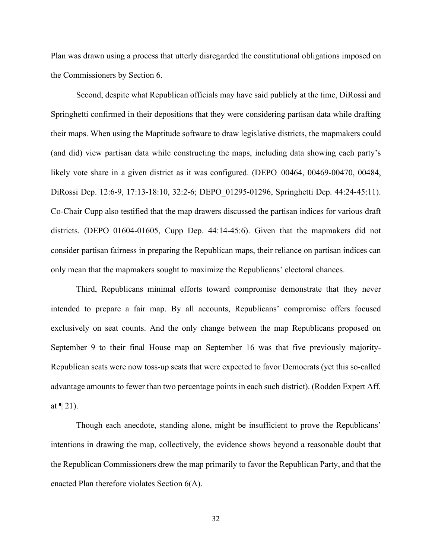Plan was drawn using a process that utterly disregarded the constitutional obligations imposed on the Commissioners by Section 6.

Second, despite what Republican officials may have said publicly at the time, DiRossi and Springhetti confirmed in their depositions that they were considering partisan data while drafting their maps. When using the Maptitude software to draw legislative districts, the mapmakers could (and did) view partisan data while constructing the maps, including data showing each party's likely vote share in a given district as it was configured. (DEPO 00464, 00469-00470, 00484, DiRossi Dep. 12:6-9, 17:13-18:10, 32:2-6; DEPO\_01295-01296, Springhetti Dep. 44:24-45:11). Co-Chair Cupp also testified that the map drawers discussed the partisan indices for various draft districts. (DEPO 01604-01605, Cupp Dep. 44:14-45:6). Given that the mapmakers did not consider partisan fairness in preparing the Republican maps, their reliance on partisan indices can only mean that the mapmakers sought to maximize the Republicans' electoral chances.

Third, Republicans minimal efforts toward compromise demonstrate that they never intended to prepare a fair map. By all accounts, Republicans' compromise offers focused exclusively on seat counts. And the only change between the map Republicans proposed on September 9 to their final House map on September 16 was that five previously majority-Republican seats were now toss-up seats that were expected to favor Democrats (yet this so-called advantage amounts to fewer than two percentage points in each such district). (Rodden Expert Aff. at  $\P$  21).

Though each anecdote, standing alone, might be insufficient to prove the Republicans' intentions in drawing the map, collectively, the evidence shows beyond a reasonable doubt that the Republican Commissioners drew the map primarily to favor the Republican Party, and that the enacted Plan therefore violates Section 6(A).

32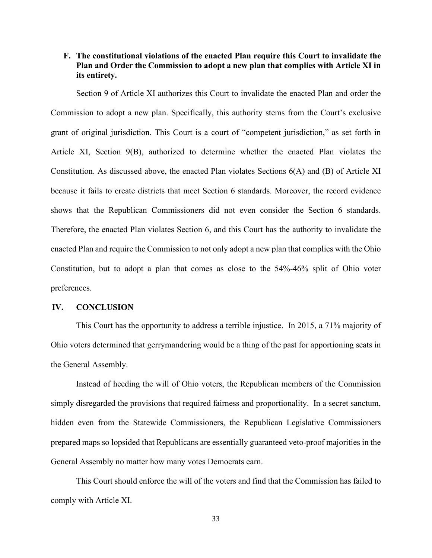# **F. The constitutional violations of the enacted Plan require this Court to invalidate the Plan and Order the Commission to adopt a new plan that complies with Article XI in its entirety.**

Section 9 of Article XI authorizes this Court to invalidate the enacted Plan and order the Commission to adopt a new plan. Specifically, this authority stems from the Court's exclusive grant of original jurisdiction. This Court is a court of "competent jurisdiction," as set forth in Article XI, Section 9(B), authorized to determine whether the enacted Plan violates the Constitution. As discussed above, the enacted Plan violates Sections 6(A) and (B) of Article XI because it fails to create districts that meet Section 6 standards. Moreover, the record evidence shows that the Republican Commissioners did not even consider the Section 6 standards. Therefore, the enacted Plan violates Section 6, and this Court has the authority to invalidate the enacted Plan and require the Commission to not only adopt a new plan that complies with the Ohio Constitution, but to adopt a plan that comes as close to the 54%-46% split of Ohio voter preferences.

#### **IV. CONCLUSION**

This Court has the opportunity to address a terrible injustice. In 2015, a 71% majority of Ohio voters determined that gerrymandering would be a thing of the past for apportioning seats in the General Assembly.

Instead of heeding the will of Ohio voters, the Republican members of the Commission simply disregarded the provisions that required fairness and proportionality. In a secret sanctum, hidden even from the Statewide Commissioners, the Republican Legislative Commissioners prepared maps so lopsided that Republicans are essentially guaranteed veto-proof majorities in the General Assembly no matter how many votes Democrats earn.

This Court should enforce the will of the voters and find that the Commission has failed to comply with Article XI.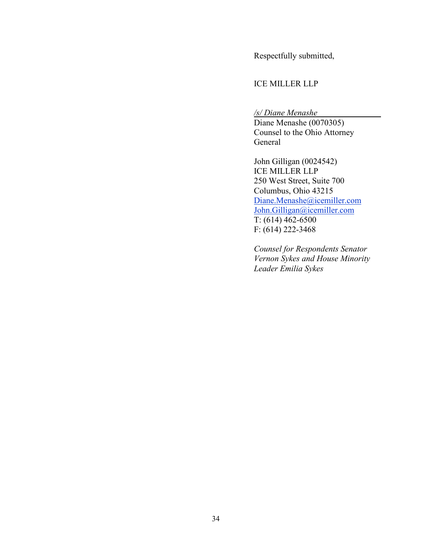Respectfully submitted,

### ICE MILLER LLP

*/s/ Diane Menashe*

Diane Menashe (0070305) Counsel to the Ohio Attorney General

John Gilligan (0024542) ICE MILLER LLP 250 West Street, Suite 700 Columbus, Ohio 43215 [Diane.Menashe@icemiller.com](mailto:Diane.Menashe@icemiller.com)  [John.Gilligan@icemiller.com](mailto:John.Gilligan@icemiller.com)   $\overline{T: (614) 462 - 6500}$ F: (614) 222-3468

*Counsel for Respondents Senator Vernon Sykes and House Minority Leader Emilia Sykes*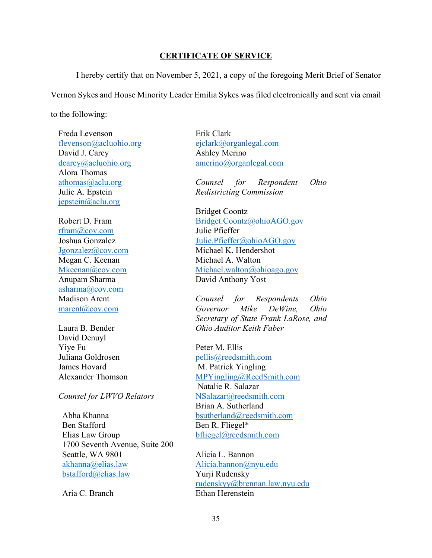### **CERTIFICATE OF SERVICE**

I hereby certify that on November 5, 2021, a copy of the foregoing Merit Brief of Senator Vernon Sykes and House Minority Leader Emilia Sykes was filed electronically and sent via email to the following:

Freda Levenson [flevenson@acluohio.org](mailto:flevenson@acluohio.org) David J. Carey [dcarey@acluohio.org](mailto:dcarey@acluohio.org) Alora Thomas [athomas@aclu.org](mailto:athomas@aclu.org) Julie A. Epstein [jepstein@aclu.org](mailto:jepstein@aclu.org)

Robert D. Fram [rfram@cov.com](mailto:rfram@cov.com) Joshua Gonzalez [Jgonzalez@cov.com](mailto:Jgonzalez@cov.com) Megan C. Keenan [Mkeenan@cov.com](mailto:Mkeenan@cov.com) Anupam Sharma [asharma@cov.com](mailto:asharma@cov.com) Madison Arent [marent@cov.com](mailto:marent@cov.com)

Laura B. Bender David Denuyl Yiye Fu Juliana Goldrosen James Hovard Alexander Thomson

*Counsel for LWVO Relators* 

Abha Khanna Ben Stafford Elias Law Group 1700 Seventh Avenue, Suite 200 Seattle, WA 9801 [akhanna@elias.law](mailto:akhanna@elias.law) [bstafford@elias.law](mailto:bstafford@elias.law)

Aria C. Branch

Erik Clark [ejclark@organlegal.com](mailto:ejclark@organlegal.com) Ashley Merino [amerino@organlegal.com](mailto:amerino@organlegal.com)

*Counsel for Respondent Ohio Redistricting Commission* 

Bridget Coontz [Bridget.Coontz@ohioAGO.gov](mailto:Bridget.Coontz@ohioAGO.gov) Julie Pfieffer [Julie.Pfieffer@ohioAGO.gov](mailto:Julie.Pfieffer@ohioAGO.gov) Michael K. Hendershot Michael A. Walton [Michael.walton@ohioago.gov](mailto:Michael.walton@ohioago.gov) David Anthony Yost

*Counsel for Respondents Ohio Governor Mike DeWine, Ohio Secretary of State Frank LaRose, and Ohio Auditor Keith Faber* 

Peter M. Ellis [pellis@reedsmith.com](mailto:pellis@reedsmith.com) M. Patrick Yingling [MPYingling@ReedSmith.com](mailto:MPYingling@ReedSmith.com) Natalie R. Salazar [NSalazar@reedsmith.com](mailto:NSalazar@reedsmith.com) Brian A. Sutherland [bsutherland@reedsmith.com](mailto:bsutherland@reedsmith.com) Ben R. Fliegel\* [bfliegel@reedsmith.com](mailto:bfliegel@reedsmith.com)

Alicia L. Bannon [Alicia.bannon@nyu.edu](mailto:Alicia.bannon@nyu.edu) Yurji Rudensky [rudenskyy@brennan.law.nyu.edu](mailto:rudenskyy@brennan.law.nyu.edu) Ethan Herenstein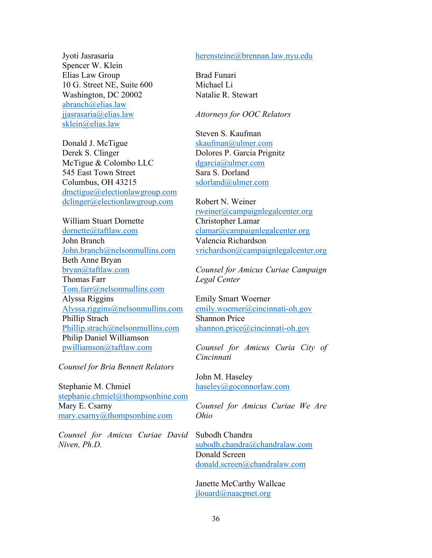Jyoti Jasrasaria Spencer W. Klein Elias Law Group 10 G. Street NE, Suite 600 Washington, DC 20002 [abranch@elias.law](mailto:abranch@elias.law) [jjasrasaria@elias.law](mailto:jjasrasaria@elias.law) [sklein@elias.law](mailto:sklein@elias.law)

Donald J. McTigue Derek S. Clinger McTigue & Colombo LLC 545 East Town Street Columbus, OH 43215 [dmctigue@electionlawgroup.com](mailto:dmctigue@electionlawgroup.com) [dclinger@electionlawgroup.com](mailto:dclinger@electionlawgroup.com)

William Stuart Dornette [dornette@taftlaw.com](mailto:dornette@taftlaw.com) John Branch [John.branch@nelsonmullins.com](mailto:John.branch@nelsonmullins.com) Beth Anne Bryan [bryan@taftlaw.com](mailto:bryan@taftlaw.com) Thomas Farr [Tom.farr@nelsonmullins.com](mailto:Tom.farr@nelsonmullins.com) Alyssa Riggins [Alyssa.riggins@nelsonmullins.com](mailto:Alyssa.riggins@nelsonmullins.com) Phillip Strach [Phillip.strach@nelsonmullins.com](mailto:Phillip.strach@nelsonmullins.com) Philip Daniel Williamson [pwilliamson@taftlaw.com](mailto:pwilliamson@taftlaw.com)

*Counsel for Bria Bennett Relators* 

Stephanie M. Chmiel [stephanie.chmiel@thompsonhine.com](mailto:stephanie.chmiel@thompsonhine.com) Mary E. Csarny [mary.csarny@thompsonhine.com](mailto:mary.csarny@thompsonhine.com)

*Counsel for Amicus Curiae David Niven, Ph.D.* 

#### [herensteine@brennan.law.nyu.edu](mailto:herensteine@brennan.law.nyu.edu)

Brad Funari Michael Li Natalie R. Stewart

#### *Attorneys for OOC Relators*

Steven S. Kaufman [skaufman@ulmer.com](mailto:skaufman@ulmer.com) Dolores P. Garcia Prignitz [dgarcia@ulmer.com](mailto:dgarcia@ulmer.com) Sara S. Dorland [sdorland@ulmer.com](mailto:sdorland@ulmer.com)

Robert N. Weiner [rweiner@campaignlegalcenter.org](mailto:rweiner@campaignlegalcenter.org) Christopher Lamar [clamar@campaignlegalcenter.org](mailto:clamar@campaignlegalcenter.org) Valencia Richardson [vrichardson@campaignlegalcenter.org](mailto:vrichardson@campaignlegalcenter.org)

*Counsel for Amicus Curiae Campaign Legal Center* 

Emily Smart Woerner [emily.woerner@cincinnati-oh.gov](mailto:emily.woerner@cincinnati-oh.gov) Shannon Price [shannon.price@cincinnati-oh.gov](mailto:shannon.price@cincinnati-oh.gov)

*Counsel for Amicus Curia City of Cincinnati* 

John M. Haseley [haseley@goconnorlaw.com](mailto:haseley@goconnorlaw.com)

*Counsel for Amicus Curiae We Are Ohio* 

Subodh Chandra [subodh.chandra@chandralaw.com](mailto:subodh.chandra@chandralaw.com) Donald Screen [donald.screen@chandralaw.com](mailto:donald.screen@chandralaw.com)

Janette McCarthy Wallcae [jlouard@naacpnet.org](mailto:jlouard@naacpnet.org)